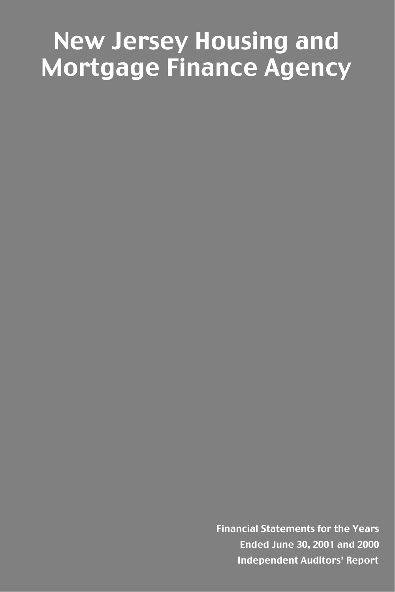# New Jersey Housing and Mortgage Finance Agency

Financial Statements for the Years Ended June 30, 2001 and 2000 Independent Auditors' Report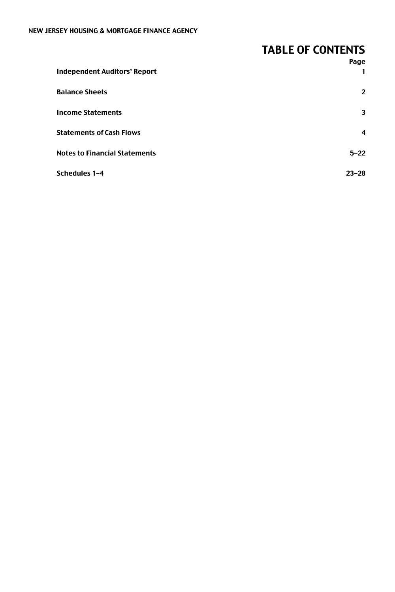# TABLE OF CONTENTS

|                                      | Page           |
|--------------------------------------|----------------|
| <b>Independent Auditors' Report</b>  |                |
| <b>Balance Sheets</b>                | $\overline{2}$ |
| <b>Income Statements</b>             | 3              |
| <b>Statements of Cash Flows</b>      | 4              |
| <b>Notes to Financial Statements</b> | $5 - 22$       |
| Schedules 1-4                        | $23 - 28$      |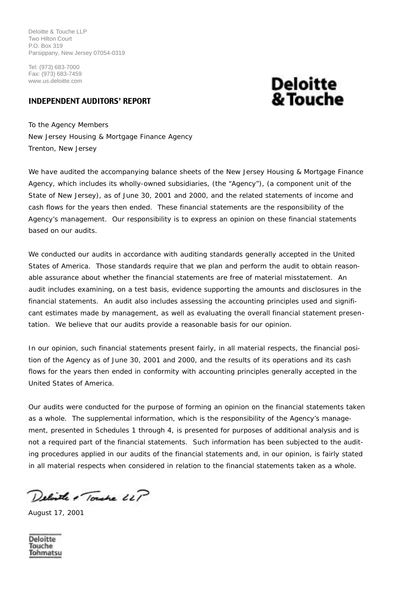Deloitte & Touche LLP Two Hilton Court P.O. Box 319 Parsippany, New Jersey 07054-0319

Tel: (973) 683-7000 Fax: (973) 683-7459 www.us.deloitte.com

# INDEPENDENT AUDITORS' REPORT

# **Deloitte** & Touche

To the Agency Members New Jersey Housing & Mortgage Finance Agency Trenton, New Jersey

We have audited the accompanying balance sheets of the New Jersey Housing & Mortgage Finance Agency, which includes its wholly-owned subsidiaries, (the "Agency"), (a component unit of the State of New Jersey), as of June 30, 2001 and 2000, and the related statements of income and cash flows for the years then ended. These financial statements are the responsibility of the Agency's management. Our responsibility is to express an opinion on these financial statements based on our audits.

We conducted our audits in accordance with auditing standards generally accepted in the United States of America. Those standards require that we plan and perform the audit to obtain reasonable assurance about whether the financial statements are free of material misstatement. An audit includes examining, on a test basis, evidence supporting the amounts and disclosures in the financial statements. An audit also includes assessing the accounting principles used and significant estimates made by management, as well as evaluating the overall financial statement presentation. We believe that our audits provide a reasonable basis for our opinion.

In our opinion, such financial statements present fairly, in all material respects, the financial position of the Agency as of June 30, 2001 and 2000, and the results of its operations and its cash flows for the years then ended in conformity with accounting principles generally accepted in the United States of America.

Our audits were conducted for the purpose of forming an opinion on the financial statements taken as a whole. The supplemental information, which is the responsibility of the Agency's management, presented in Schedules 1 through 4, is presented for purposes of additional analysis and is not a required part of the financial statements. Such information has been subjected to the auditing procedures applied in our audits of the financial statements and, in our opinion, is fairly stated in all material respects when considered in relation to the financial statements taken as a whole.

Delivere & Touche LLP

August 17, 2001

Deloitte Touche Tohmatsu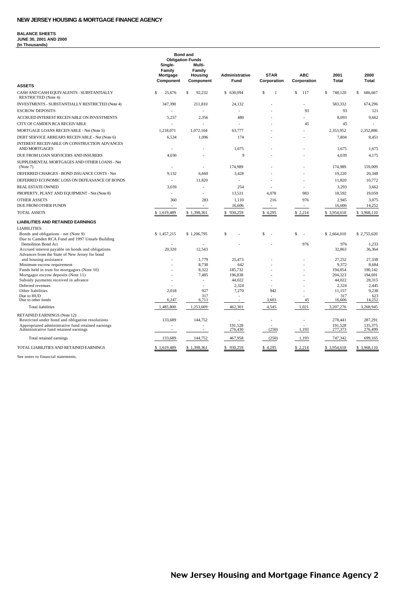#### **BALANCE SHEETS JUNE 30, 2001 AND 2000 (In Thousands)**

|                                                                                     | Single-<br>Family<br>Mortgage<br>Component | <b>Bond and</b><br><b>Obligation Funds</b><br>Multi-<br>Family<br>Housing<br>Component | Administrative<br>Fund | <b>STAR</b><br>Corporation | <b>ABC</b><br>Corporation | 2001<br><b>Total</b>   | 2000<br>Total          |
|-------------------------------------------------------------------------------------|--------------------------------------------|----------------------------------------------------------------------------------------|------------------------|----------------------------|---------------------------|------------------------|------------------------|
| <b>ASSETS</b>                                                                       |                                            |                                                                                        |                        |                            |                           |                        |                        |
| CASH AND CASH EQUIVALENTS - SUBSTANTIALLY<br><b>RESTRICTED</b> (Note 4)             | $\mathbb S$<br>25,676                      | \$<br>92.232                                                                           | \$630,094              | \$<br>1                    | s<br>117                  | $\mathbb S$<br>748,120 | $\mathbb S$<br>686,667 |
| INVESTMENTS - SUBSTANTIALLY RESTRICTED (Note 4)                                     | 347,390                                    | 211,810                                                                                | 24,132                 |                            | ä,                        | 583,332                | 674,296                |
| <b>ESCROW DEPOSITS</b>                                                              |                                            |                                                                                        |                        |                            | 93                        | 93                     | 121                    |
| ACCRUED INTEREST RECEIVABLE ON INVESTMENTS                                          | 5,257                                      | 2,356                                                                                  | 480                    |                            |                           | 8.093                  | 9,662                  |
| CITY OF CAMDEN RCA RECEIVABLE                                                       |                                            |                                                                                        |                        |                            | 45                        | 45                     |                        |
| MORTGAGE LOANS RECEIVABLE - Net (Note 5)                                            | 1,218,071                                  | 1,072,104                                                                              | 63,777                 |                            |                           | 2,353,952              | 2,352,886              |
| DEBT SERVICE ARREARS RECEIVABLE - Net (Note 6)                                      | 6,534                                      | 1,096                                                                                  | 174                    |                            |                           | 7,804                  | 8,451                  |
| INTEREST RECEIVABLE ON CONSTRUCTION ADVANCES<br>AND MORTGAGES                       | ÷.                                         |                                                                                        | 1,675                  |                            |                           | 1,675                  | 1,675                  |
| DUE FROM LOAN SERVICERS AND INSURERS                                                | 4.030                                      |                                                                                        | 9                      |                            |                           | 4.039                  | 4.175                  |
| SUPPLEMENTAL MORTGAGES AND OTHER LOANS - Net<br>(Note 7)                            | ÷.                                         | ×.                                                                                     | 174,989                |                            |                           | 174,989                | 159,009                |
| DEFERRED CHARGES - BOND ISSUANCE COSTS - Net                                        | 9.132                                      | 6,660                                                                                  | 3.428                  |                            |                           | 19.220                 | 20,348                 |
| DEFERRED ECONOMIC LOSS ON DEFEASANCE OF BONDS                                       | ÷.                                         | 11,820                                                                                 | ÷.                     |                            |                           | 11,820                 | 10,772                 |
| <b>REAL ESTATE OWNED</b>                                                            | 3.039                                      |                                                                                        | 254                    |                            |                           | 3.293                  | 3,662                  |
| PROPERTY, PLANT AND EQUIPMENT - Net (Note 8)                                        |                                            | ÷.                                                                                     | 13,531                 | 4,078                      | 983                       | 18,592                 | 19,059                 |
| <b>OTHER ASSETS</b>                                                                 | 360                                        | 283                                                                                    | 1.110                  | 216                        | 976                       | 2,945                  | 3,075                  |
| DUE FROM OTHER FUNDS                                                                | $\bar{a}$                                  |                                                                                        | 16,606                 | $\overline{\phantom{a}}$   |                           | 16,606                 | 14,252                 |
| <b>TOTAL ASSETS</b>                                                                 | \$1,619,489                                | \$1,398,361                                                                            | 930,259<br>s           | \$4,295                    | \$ 2,214                  | S<br>3,954,618         | \$3,968,110            |
| <b>LIABILITIES AND RETAINED EARNINGS</b>                                            |                                            |                                                                                        |                        |                            |                           |                        |                        |
| <b>LIABILITIES:</b>                                                                 |                                            |                                                                                        |                        |                            |                           |                        |                        |
| Bonds and obligations - net (Note 9)                                                | \$1,457,215                                | \$1,206,795                                                                            | \$                     | \$<br>÷.                   | S                         | \$2,664,010            | \$2,755,620            |
| Due to Camden RCA Fund and 1997 Unsafe Building                                     |                                            |                                                                                        |                        |                            |                           |                        |                        |
| <b>Demolition Bond Act</b><br>Accrued interest payable on bonds and obligations     | 20.320                                     | 12,543                                                                                 |                        |                            | 976                       | 976<br>32.863          | 1.233<br>36.364        |
| Advances from the State of New Jersey for bond                                      |                                            |                                                                                        |                        |                            |                           |                        |                        |
| and housing assistance                                                              |                                            | 1.779                                                                                  | 25.473                 |                            |                           | 27.252                 | 27,338                 |
| Minimum escrow requirement                                                          |                                            | 8,730                                                                                  | 642                    |                            |                           | 9,372                  | 8,684                  |
| Funds held in trust for mortgagors (Note 10)<br>Mortgagor escrow deposits (Note 11) |                                            | 8,322<br>7,485                                                                         | 185,732<br>196,838     |                            |                           | 194,054<br>204,323     | 190,142<br>194,691     |
| Subsidy payments received in advance                                                |                                            |                                                                                        | 44,022                 |                            |                           | 44,022                 | 28,315                 |
| Deferred revenues                                                                   |                                            |                                                                                        | 2,324                  |                            |                           | 2,324                  | 2,445                  |
| Other liabilities                                                                   | 2,018                                      | 927                                                                                    | 7,270                  | 942                        |                           | 11,157                 | 9,238                  |
| Due to HUD<br>Due to other funds                                                    | 6,247                                      | 317<br>6,711                                                                           |                        | 3,603                      | 45                        | 317<br>16,606          | 623<br>14.252          |
| <b>Total liabilities</b>                                                            | 1,485,800                                  | 1,253,609                                                                              | 462,301                | 4,545                      | 1,021                     | 3,207,276              | 3,268,945              |
|                                                                                     |                                            |                                                                                        |                        |                            |                           |                        |                        |
| RETAINED EARNINGS (Note 12):<br>Restricted under bond and obligation resolutions    | 133,689                                    | 144,752                                                                                | ÷.                     | ÷,                         | ä,                        | 278,441                | 287,291                |
| Appropriated administrative fund retained earnings                                  |                                            |                                                                                        | 191.528                |                            |                           | 191.528                | 135,375                |
| Administrative fund retained earnings                                               | $\bar{a}$                                  | $\sim$                                                                                 | 276,430                | (250)                      | 1,193                     | 277,373                | 276,499                |
| Total retained earnings                                                             | 133,689                                    | 144,752                                                                                | 467,958                | (250)                      | 1,193                     | 747,342                | 699,165                |
| TOTAL LIABILITIES AND RETAINED EARNINGS                                             | \$1,619,489                                | \$1,398,361                                                                            | \$930,259              | \$4,295                    | \$2,214                   | \$3,954,618            | \$3,968,110            |

See notes to financial statements.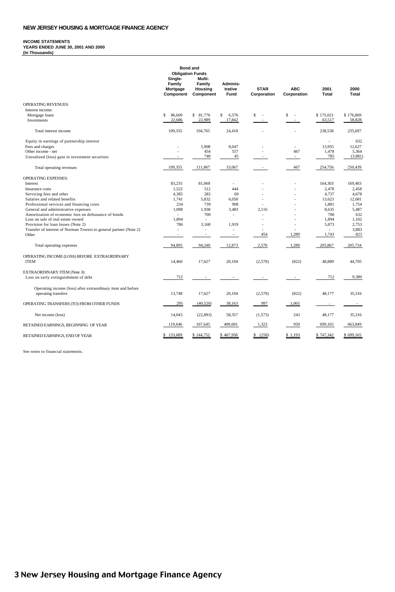#### **INCOME STATEMENTS YEARS ENDED JUNE 30, 2001 AND 2000 (In Thousands)**

|                                                                                           | Single-<br>Family<br>Mortgage<br>Component | <b>Bond and</b><br><b>Obligation Funds</b><br>Multi-<br>Family<br>Housing<br>Component | Adminis-<br>trative<br>Fund | <b>STAR</b><br>Corporation | <b>ABC</b><br>Corporation | 2001<br><b>Total</b>     | 2000<br>Total |
|-------------------------------------------------------------------------------------------|--------------------------------------------|----------------------------------------------------------------------------------------|-----------------------------|----------------------------|---------------------------|--------------------------|---------------|
| <b>OPERATING REVENUES:</b>                                                                |                                            |                                                                                        |                             |                            |                           |                          |               |
| Interest income:                                                                          |                                            |                                                                                        |                             |                            |                           |                          |               |
| Mortgage loans                                                                            | s<br>86,669                                | \$ 81,776                                                                              | \$<br>6,576                 | S.<br>$\sim$               | \$<br>$\sim$              | \$175,021                | \$176,869     |
| Investments                                                                               | 22.686                                     | 22.989                                                                                 | 17,842                      | $\mathbf{r}$               |                           | 63,517                   | 58,828        |
| Total interest income                                                                     | 109,355                                    | 104,765                                                                                | 24,418                      |                            |                           | 238,538                  | 235,697       |
| Equity in earnings of partnership interest                                                |                                            |                                                                                        |                             |                            |                           | $\sim$                   | 632           |
| Fees and charges                                                                          |                                            | 5,908                                                                                  | 8,047                       |                            | ÷                         | 13,955                   | 12,627        |
| Other income - net                                                                        |                                            | 454                                                                                    | 557                         |                            | 467                       | 1,478                    | 5,364         |
| Unrealized (loss) gain in investment securities                                           | $\sim$                                     | 740                                                                                    | 45                          | ٠                          | $\sim$                    | 785                      | (3,881)       |
| Total operating revenues                                                                  | 109,355                                    | 111,867                                                                                | 33,067                      | $\sim$                     | 467                       | 254,756                  | 250,439       |
| <b>OPERATING EXPENSES:</b>                                                                |                                            |                                                                                        |                             |                            |                           |                          |               |
| Interest                                                                                  | 83.235                                     | 81,068                                                                                 | ٠                           |                            |                           | 164,303                  | 169,483       |
| Insurance costs                                                                           | 1.522                                      | 512                                                                                    | 444                         |                            |                           | 2,478                    | 2,458         |
| Servicing fees and other                                                                  | 4.385                                      | 283                                                                                    | 69                          | J.                         |                           | 4.737                    | 4.678         |
| Salaries and related benefits                                                             | 1,741                                      | 5,832                                                                                  | 6.050                       | ż.                         | ÷.                        | 13,623                   | 12,681        |
| Professional services and financing costs                                                 | 234                                        | 739                                                                                    | 908                         |                            |                           | 1.881                    | 1.754         |
| General and administrative expenses                                                       | 1,098                                      | 1,938                                                                                  | 3,483                       | 2,116                      | J.                        | 8,635                    | 5,487         |
| Amortization of economic loss on defeasance of bonds<br>Loss on sale of real estate owned | ÷<br>1,894                                 | 700                                                                                    | $\sim$                      |                            | ÷.                        | 700<br>1,894             | 632<br>1,102  |
| Provision for loan losses (Note 2)                                                        | 786                                        | 3.168                                                                                  | 1.919                       |                            |                           | 5,873                    | 2,753         |
| Transfer of interest of Norman Towers to general partner (Note 2)                         | $\sim$                                     | ÷                                                                                      |                             | ä,                         |                           | $\overline{\phantom{a}}$ | 3.883         |
| Other                                                                                     |                                            |                                                                                        |                             | 454                        | 1,289                     | 1,743                    | 823           |
| Total operating expenses                                                                  | 94,895                                     | 94,240                                                                                 | 12,873                      | 2,570                      | 1,289                     | 205,867                  | 205,734       |
| OPERATING INCOME (LOSS) BEFORE EXTRAORDINARY                                              |                                            |                                                                                        |                             |                            |                           |                          |               |
| <b>ITEM</b>                                                                               | 14,460                                     | 17,627                                                                                 | 20,194                      | (2,570)                    | (822)                     | 48,889                   | 44,705        |
| EXTRAORDINARY ITEM (Note 3):                                                              |                                            |                                                                                        |                             |                            |                           |                          |               |
| Loss on early extinguishment of debt                                                      | 712                                        | $\sim$                                                                                 | ٠                           | $\overline{\phantom{a}}$   | $\overline{\phantom{a}}$  | 712                      | 9,389         |
| Operating income (loss) after extraordinary item and before                               |                                            |                                                                                        |                             |                            |                           |                          |               |
| operating transfers                                                                       | 13.748                                     | 17,627                                                                                 | 20,194                      | (2,570)                    | (822)                     | 48,177                   | 35,316        |
| OPERATING TRANSFERS (TO) FROM OTHER FUNDS                                                 | 295                                        | (40,520)                                                                               | 38,163                      | 997                        | 1,065                     |                          | $\sim$        |
| Net income (loss)                                                                         | 14,043                                     | (22, 893)                                                                              | 58,357                      | (1,573)                    | 243                       | 48,177                   | 35,316        |
| RETAINED EARNINGS, BEGINNING OF YEAR                                                      | 119,646                                    | 167,645                                                                                | 409,601                     | 1,323                      | 950                       | 699,165                  | 663,849       |
| RETAINED EARNINGS, END OF YEAR                                                            | \$133,689                                  | \$144,752                                                                              | \$467,958                   | \$ (250)                   | \$1,193                   | \$747,342                | \$699,165     |

See notes to financial statements.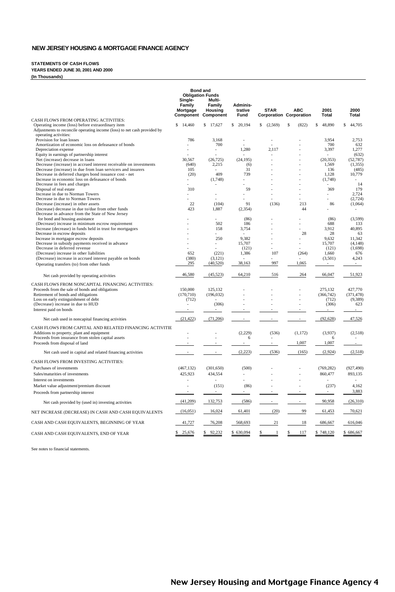#### **STATEMENTS OF CASH FLOWS**

**YEARS ENDED JUNE 30, 2001 AND 2000**

**(In Thousands)**

|                                                                                                                               | Sinale-<br>Family<br>Mortgage | <b>Bond and</b><br><b>Obligation Funds</b><br>Multi-<br>Family<br>Housing<br>Component Component | Adminis-<br>trative<br>Fund | <b>STAR</b><br><b>Corporation Corporation</b> | <b>ABC</b> | 2001<br>Total    | 2000<br>Total      |
|-------------------------------------------------------------------------------------------------------------------------------|-------------------------------|--------------------------------------------------------------------------------------------------|-----------------------------|-----------------------------------------------|------------|------------------|--------------------|
| CASH FLOWS FROM OPERATING ACTIVITIES:                                                                                         | \$<br>14,460                  | \$17,627                                                                                         | \$<br>20,194                | \$<br>(2,569)                                 | S<br>(822) | \$<br>48.890     | S.<br>44,705       |
| Operating income (loss) before extraordinary item<br>Adjustments to reconcile operating income (loss) to net cash provided by |                               |                                                                                                  |                             |                                               |            |                  |                    |
| operating activities:                                                                                                         |                               |                                                                                                  |                             |                                               |            |                  |                    |
| Provision for loan losses                                                                                                     | 786                           | 3,168                                                                                            | $\bar{a}$                   | ä,                                            |            | 3,954            | 2,753              |
| Amortization of economic loss on defeasance of bonds<br>Depreciation expense                                                  |                               | 700<br>$\overline{\phantom{a}}$                                                                  | 1.280                       | 2.117                                         |            | 700<br>3.397     | 632<br>1,277       |
| Equity in earnings of partnership interest                                                                                    |                               |                                                                                                  |                             |                                               |            |                  | (632)              |
| Net (increase) decrease in loans                                                                                              | 30,567                        | (26, 725)                                                                                        | (24, 195)                   |                                               |            | (20, 353)        | (52, 787)          |
| Decrease (increase) in accrued interest receivable on investments                                                             | (640)                         | 2,215                                                                                            | (6)                         |                                               |            | 1,569            | (1, 355)           |
| Decrease (increase) in due from loan servicers and insurers                                                                   | 105                           |                                                                                                  | 31                          |                                               |            | 136              | (485)              |
| Decrease in deferred charges bond issuance cost - net<br>Increase in economic loss on defeasance of bonds                     | (20)<br>$\equiv$              | 409                                                                                              | 739<br>$\sim$               |                                               |            | 1.128<br>(1,748) | 10,779             |
| Decrease in fees and charges                                                                                                  |                               | (1,748)                                                                                          |                             |                                               |            |                  | 14                 |
| Disposal of real estate                                                                                                       | 310                           |                                                                                                  | 59                          |                                               |            | 369              | 179                |
| Increase in due to Norman Towers                                                                                              |                               |                                                                                                  |                             |                                               |            |                  | 2,724              |
| Decrease in due to Norman Towers                                                                                              |                               |                                                                                                  |                             |                                               |            |                  | (2, 724)           |
| Decrease (increase) in other assets                                                                                           | 22                            | (104)                                                                                            | 91                          | (136)                                         | 213        | 86               | (1,064)            |
| (Increase) decrease in due to/due from other funds<br>Decrease in advance from the State of New Jersey                        | 423                           | 1,887                                                                                            | (2, 354)                    |                                               | 44         |                  | $\sim$             |
| for bond and housing assistance                                                                                               |                               | ä,                                                                                               | (86)                        |                                               |            | (86)             | (3,599)            |
| (Decrease) increase in minimum escrow requirement                                                                             |                               | 502                                                                                              | 186                         |                                               |            | 688              | 133                |
| Increase (decrease) in funds held in trust for mortgagors                                                                     |                               | 158                                                                                              | 3,754                       |                                               |            | 3,912            | 40,895             |
| Decrease in escrow deposits                                                                                                   |                               |                                                                                                  |                             |                                               | 28         | 28               | 63                 |
| Increase in mortgagor escrow deposits<br>Decrease in subsidy payments received in advance                                     |                               | 250                                                                                              | 9,382<br>15,707             |                                               |            | 9,632<br>15,707  | 11,342<br>(4, 148) |
| Decrease in deferred revenue                                                                                                  |                               |                                                                                                  | (121)                       |                                               |            | (121)            | (1,698)            |
| (Decrease) increase in other liabilities                                                                                      | 652                           | (221)                                                                                            | 1,386                       | 107                                           | (264)      | 1,660            | 676                |
| (Decrease) increase in accrued interest payable on bonds                                                                      | (380)                         | (3, 121)                                                                                         |                             |                                               |            | (3,501)          | 4,243              |
| Operating transfers (to) from other funds                                                                                     | 295                           | (40, 520)                                                                                        | 38,163                      | 997                                           | 1,065      | $\sim$           | $\sim$             |
| Net cash provided by operating activities                                                                                     | 46,580                        | (45, 523)                                                                                        | 64,210                      | 516                                           | 264        | 66,047           | 51,923             |
| CASH FLOWS FROM NONCAPITAL FINANCING ACTIVITIES:                                                                              |                               |                                                                                                  |                             |                                               |            |                  |                    |
| Proceeds from the sale of bonds and obligations                                                                               | 150,000                       | 125,132                                                                                          |                             |                                               |            | 275,132          | 427,770            |
| Retirement of bonds and obligations                                                                                           | (170, 710)                    | (196, 032)                                                                                       |                             | ÷.                                            |            | (366, 742)       | (371, 478)         |
| Loss on early extinguishment of debt                                                                                          | (712)                         |                                                                                                  |                             | ä,<br>÷.                                      |            | (712)            | (9, 389)           |
| (Decrease) increase in due to HUD<br>Interest paid on bonds                                                                   |                               | (306)                                                                                            |                             |                                               |            | (306)            | 623                |
|                                                                                                                               |                               |                                                                                                  |                             |                                               |            |                  |                    |
| Net cash used in noncapital financing activities                                                                              | (21, 422)                     | (71, 206)                                                                                        |                             |                                               |            | (92, 628)        | 47,526             |
| CASH FLOWS FROM CAPITAL AND RELATED FINANCING ACTIVITIE                                                                       |                               |                                                                                                  |                             |                                               |            |                  |                    |
| Additions to property, plant and equipment                                                                                    |                               | ä,                                                                                               | (2,229)                     | (536)                                         | (1, 172)   | (3,937)          | (2,518)            |
| Proceeds from insurance from stolen capital assets                                                                            |                               |                                                                                                  | 6                           |                                               |            | 6                |                    |
| Proceeds from disposal of land                                                                                                |                               |                                                                                                  |                             |                                               | 1,007      | 1,007            |                    |
| Net cash used in capital and related financing activities                                                                     |                               |                                                                                                  | (2,223)                     | (536)                                         | (165)      | (2,924)          | (2, 518)           |
| CASH FLOWS FROM INVESTING ACTIVITIES:                                                                                         |                               |                                                                                                  |                             |                                               |            |                  |                    |
| Purchases of investments                                                                                                      | (467, 132)                    | (301, 650)                                                                                       | (500)                       |                                               |            | (769, 282)       | (927, 490)         |
| Sales/maturities of investments                                                                                               | 425,923                       | 434,554                                                                                          |                             |                                               |            | 860,477          | 893,135            |
| Interest on investments                                                                                                       |                               |                                                                                                  |                             |                                               |            |                  |                    |
| Market value adjustment/premium discount                                                                                      |                               | (151)                                                                                            | (86)                        |                                               |            | (237)            | 4,162              |
| Proceeds from partnership interest                                                                                            |                               |                                                                                                  |                             |                                               |            |                  | 3,883              |
| Net cash provided by (used in) investing activities                                                                           | (41,209)                      | 132,753                                                                                          | (586)                       |                                               |            | 90,958           | (26,310)           |
| NET INCREASE (DECREASE) IN CASH AND CASH EQUIVALENTS                                                                          | (16,051)                      | 16,024                                                                                           | 61,401                      | (20)                                          | 99         | 61,453           | 70,621             |
| CASH AND CASH EQUIVALENTS, BEGINNING OF YEAR                                                                                  | 41,727                        | 76,208                                                                                           | 568,693                     | 21                                            | 18         | 686,667          | 616,046            |
| CASH AND CASH EQUIVALENTS, END OF YEAR                                                                                        | \$<br>25,676                  | \$<br>92,232                                                                                     | \$630,094                   | s<br>$\mathbf{1}$                             | 117        | \$748,120        | \$686,667          |

See notes to financial statements.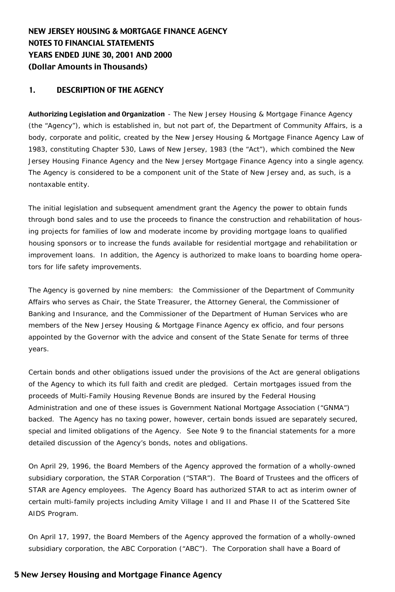# NEW JERSEY HOUSING & MORTGAGE FINANCE AGENCY NOTES TO FINANCIAL STATEMENTS YEARS ENDED JUNE 30, 2001 AND 2000 (Dollar Amounts in Thousands)

# 1. DESCRIPTION OF THE AGENCY

Authorizing Legislation and Organization - The New Jersey Housing & Mortgage Finance Agency (the "Agency"), which is established in, but not part of, the Department of Community Affairs, is a body, corporate and politic, created by the New Jersey Housing & Mortgage Finance Agency Law of 1983, constituting Chapter 530, Laws of New Jersey, 1983 (the "Act"), which combined the New Jersey Housing Finance Agency and the New Jersey Mortgage Finance Agency into a single agency. The Agency is considered to be a component unit of the State of New Jersey and, as such, is a nontaxable entity.

The initial legislation and subsequent amendment grant the Agency the power to obtain funds through bond sales and to use the proceeds to finance the construction and rehabilitation of housing projects for families of low and moderate income by providing mortgage loans to qualified housing sponsors or to increase the funds available for residential mortgage and rehabilitation or improvement loans. In addition, the Agency is authorized to make loans to boarding home operators for life safety improvements.

The Agency is governed by nine members: the Commissioner of the Department of Community Affairs who serves as Chair, the State Treasurer, the Attorney General, the Commissioner of Banking and Insurance, and the Commissioner of the Department of Human Services who are members of the New Jersey Housing & Mortgage Finance Agency ex officio, and four persons appointed by the Governor with the advice and consent of the State Senate for terms of three years.

Certain bonds and other obligations issued under the provisions of the Act are general obligations of the Agency to which its full faith and credit are pledged. Certain mortgages issued from the proceeds of Multi-Family Housing Revenue Bonds are insured by the Federal Housing Administration and one of these issues is Government National Mortgage Association ("GNMA") backed. The Agency has no taxing power, however, certain bonds issued are separately secured, special and limited obligations of the Agency. See Note 9 to the financial statements for a more detailed discussion of the Agency's bonds, notes and obligations.

On April 29, 1996, the Board Members of the Agency approved the formation of a wholly-owned subsidiary corporation, the STAR Corporation ("STAR"). The Board of Trustees and the officers of STAR are Agency employees. The Agency Board has authorized STAR to act as interim owner of certain multi-family projects including Amity Village I and II and Phase II of the Scattered Site AIDS Program.

On April 17, 1997, the Board Members of the Agency approved the formation of a wholly-owned subsidiary corporation, the ABC Corporation ("ABC"). The Corporation shall have a Board of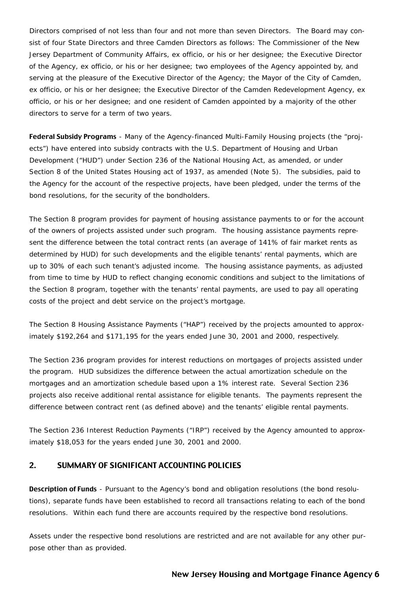Directors comprised of not less than four and not more than seven Directors. The Board may consist of four State Directors and three Camden Directors as follows: The Commissioner of the New Jersey Department of Community Affairs, ex officio, or his or her designee; the Executive Director of the Agency, ex officio, or his or her designee; two employees of the Agency appointed by, and serving at the pleasure of the Executive Director of the Agency; the Mayor of the City of Camden, ex officio, or his or her designee; the Executive Director of the Camden Redevelopment Agency, ex officio, or his or her designee; and one resident of Camden appointed by a majority of the other directors to serve for a term of two years.

Federal Subsidy Programs - Many of the Agency-financed Multi-Family Housing projects (the "projects") have entered into subsidy contracts with the U.S. Department of Housing and Urban Development ("HUD") under Section 236 of the National Housing Act, as amended, or under Section 8 of the United States Housing act of 1937, as amended (Note 5). The subsidies, paid to the Agency for the account of the respective projects, have been pledged, under the terms of the bond resolutions, for the security of the bondholders.

The Section 8 program provides for payment of housing assistance payments to or for the account of the owners of projects assisted under such program. The housing assistance payments represent the difference between the total contract rents (an average of 141% of fair market rents as determined by HUD) for such developments and the eligible tenants' rental payments, which are up to 30% of each such tenant's adjusted income. The housing assistance payments, as adjusted from time to time by HUD to reflect changing economic conditions and subject to the limitations of the Section 8 program, together with the tenants' rental payments, are used to pay all operating costs of the project and debt service on the project's mortgage.

The Section 8 Housing Assistance Payments ("HAP") received by the projects amounted to approximately \$192,264 and \$171,195 for the years ended June 30, 2001 and 2000, respectively.

The Section 236 program provides for interest reductions on mortgages of projects assisted under the program. HUD subsidizes the difference between the actual amortization schedule on the mortgages and an amortization schedule based upon a 1% interest rate. Several Section 236 projects also receive additional rental assistance for eligible tenants. The payments represent the difference between contract rent (as defined above) and the tenants' eligible rental payments.

The Section 236 Interest Reduction Payments ("IRP") received by the Agency amounted to approximately \$18,053 for the years ended June 30, 2001 and 2000.

# 2. SUMMARY OF SIGNIFICANT ACCOUNTING POLICIES

Description of Funds - Pursuant to the Agency's bond and obligation resolutions (the bond resolutions), separate funds have been established to record all transactions relating to each of the bond resolutions. Within each fund there are accounts required by the respective bond resolutions.

Assets under the respective bond resolutions are restricted and are not available for any other purpose other than as provided.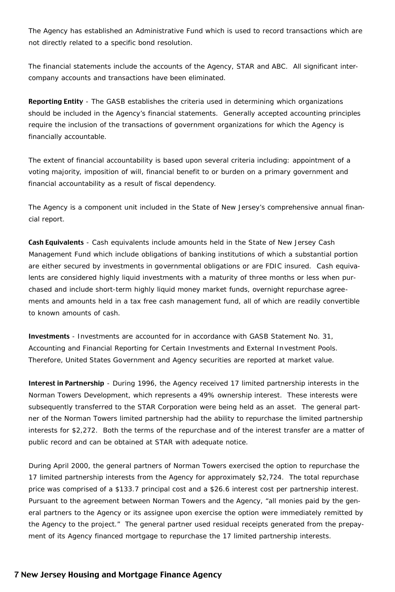The Agency has established an Administrative Fund which is used to record transactions which are not directly related to a specific bond resolution.

The financial statements include the accounts of the Agency, STAR and ABC. All significant intercompany accounts and transactions have been eliminated.

Reporting Entity - The GASB establishes the criteria used in determining which organizations should be included in the Agency's financial statements. Generally accepted accounting principles require the inclusion of the transactions of government organizations for which the Agency is financially accountable.

The extent of financial accountability is based upon several criteria including: appointment of a voting majority, imposition of will, financial benefit to or burden on a primary government and financial accountability as a result of fiscal dependency.

The Agency is a component unit included in the State of New Jersey's comprehensive annual financial report.

Cash Equivalents - Cash equivalents include amounts held in the State of New Jersey Cash Management Fund which include obligations of banking institutions of which a substantial portion are either secured by investments in governmental obligations or are FDIC insured. Cash equivalents are considered highly liquid investments with a maturity of three months or less when purchased and include short-term highly liquid money market funds, overnight repurchase agreements and amounts held in a tax free cash management fund, all of which are readily convertible to known amounts of cash.

Investments - Investments are accounted for in accordance with GASB Statement No. 31, Accounting and Financial Reporting for Certain Investments and External Investment Pools. Therefore, United States Government and Agency securities are reported at market value.

Interest in Partnership - During 1996, the Agency received 17 limited partnership interests in the Norman Towers Development, which represents a 49% ownership interest. These interests were subsequently transferred to the STAR Corporation were being held as an asset. The general partner of the Norman Towers limited partnership had the ability to repurchase the limited partnership interests for \$2,272. Both the terms of the repurchase and of the interest transfer are a matter of public record and can be obtained at STAR with adequate notice.

During April 2000, the general partners of Norman Towers exercised the option to repurchase the 17 limited partnership interests from the Agency for approximately \$2,724. The total repurchase price was comprised of a \$133.7 principal cost and a \$26.6 interest cost per partnership interest. Pursuant to the agreement between Norman Towers and the Agency, "all monies paid by the general partners to the Agency or its assignee upon exercise the option were immediately remitted by the Agency to the project." The general partner used residual receipts generated from the prepayment of its Agency financed mortgage to repurchase the 17 limited partnership interests.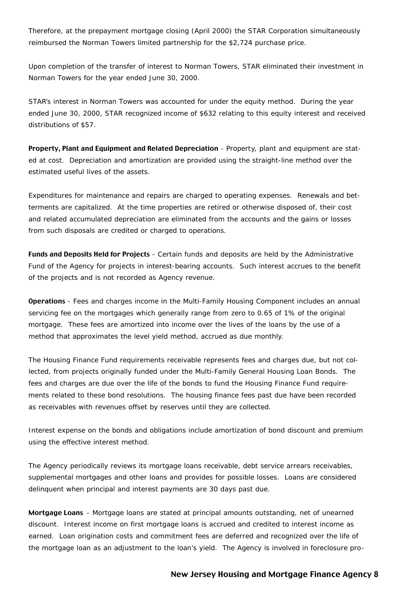Therefore, at the prepayment mortgage closing (April 2000) the STAR Corporation simultaneously reimbursed the Norman Towers limited partnership for the \$2,724 purchase price.

Upon completion of the transfer of interest to Norman Towers, STAR eliminated their investment in Norman Towers for the year ended June 30, 2000.

STAR's interest in Norman Towers was accounted for under the equity method. During the year ended June 30, 2000, STAR recognized income of \$632 relating to this equity interest and received distributions of \$57.

Property, Plant and Equipment and Related Depreciation - Property, plant and equipment are stated at cost. Depreciation and amortization are provided using the straight-line method over the estimated useful lives of the assets.

Expenditures for maintenance and repairs are charged to operating expenses. Renewals and betterments are capitalized. At the time properties are retired or otherwise disposed of, their cost and related accumulated depreciation are eliminated from the accounts and the gains or losses from such disposals are credited or charged to operations.

Funds and Deposits Held for Projects - Certain funds and deposits are held by the Administrative Fund of the Agency for projects in interest-bearing accounts. Such interest accrues to the benefit of the projects and is not recorded as Agency revenue.

Operations - Fees and charges income in the Multi-Family Housing Component includes an annual servicing fee on the mortgages which generally range from zero to 0.65 of 1% of the original mortgage. These fees are amortized into income over the lives of the loans by the use of a method that approximates the level yield method, accrued as due monthly.

The Housing Finance Fund requirements receivable represents fees and charges due, but not collected, from projects originally funded under the Multi-Family General Housing Loan Bonds. The fees and charges are due over the life of the bonds to fund the Housing Finance Fund requirements related to these bond resolutions. The housing finance fees past due have been recorded as receivables with revenues offset by reserves until they are collected.

Interest expense on the bonds and obligations include amortization of bond discount and premium using the effective interest method.

The Agency periodically reviews its mortgage loans receivable, debt service arrears receivables, supplemental mortgages and other loans and provides for possible losses. Loans are considered delinquent when principal and interest payments are 30 days past due.

Mortgage Loans - Mortgage loans are stated at principal amounts outstanding, net of unearned discount. Interest income on first mortgage loans is accrued and credited to interest income as earned. Loan origination costs and commitment fees are deferred and recognized over the life of the mortgage loan as an adjustment to the loan's yield. The Agency is involved in foreclosure pro-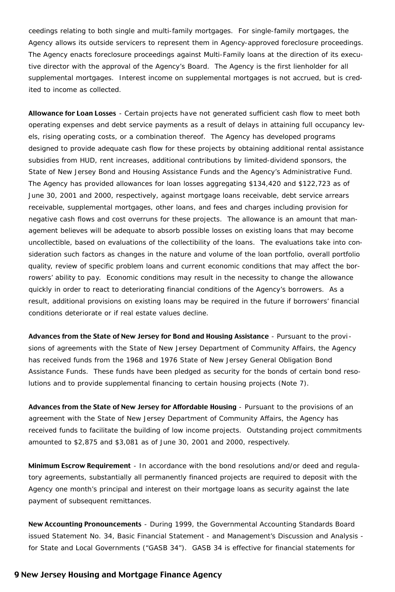ceedings relating to both single and multi-family mortgages. For single-family mortgages, the Agency allows its outside servicers to represent them in Agency-approved foreclosure proceedings. The Agency enacts foreclosure proceedings against Multi-Family loans at the direction of its executive director with the approval of the Agency's Board. The Agency is the first lienholder for all supplemental mortgages. Interest income on supplemental mortgages is not accrued, but is credited to income as collected.

Allowance for Loan Losses - Certain projects have not generated sufficient cash flow to meet both operating expenses and debt service payments as a result of delays in attaining full occupancy levels, rising operating costs, or a combination thereof. The Agency has developed programs designed to provide adequate cash flow for these projects by obtaining additional rental assistance subsidies from HUD, rent increases, additional contributions by limited-dividend sponsors, the State of New Jersey Bond and Housing Assistance Funds and the Agency's Administrative Fund. The Agency has provided allowances for loan losses aggregating \$134,420 and \$122,723 as of June 30, 2001 and 2000, respectively, against mortgage loans receivable, debt service arrears receivable, supplemental mortgages, other loans, and fees and charges including provision for negative cash flows and cost overruns for these projects. The allowance is an amount that management believes will be adequate to absorb possible losses on existing loans that may become uncollectible, based on evaluations of the collectibility of the loans. The evaluations take into consideration such factors as changes in the nature and volume of the loan portfolio, overall portfolio quality, review of specific problem loans and current economic conditions that may affect the borrowers' ability to pay. Economic conditions may result in the necessity to change the allowance quickly in order to react to deteriorating financial conditions of the Agency's borrowers. As a result, additional provisions on existing loans may be required in the future if borrowers' financial conditions deteriorate or if real estate values decline.

Advances from the State of New Jersey for Bond and Housing Assistance - Pursuant to the provi sions of agreements with the State of New Jersey Department of Community Affairs, the Agency has received funds from the 1968 and 1976 State of New Jersey General Obligation Bond Assistance Funds. These funds have been pledged as security for the bonds of certain bond resolutions and to provide supplemental financing to certain housing projects (Note 7).

Advances from the State of New Jersey for Affordable Housing - Pursuant to the provisions of an agreement with the State of New Jersey Department of Community Affairs, the Agency has received funds to facilitate the building of low income projects. Outstanding project commitments amounted to \$2,875 and \$3,081 as of June 30, 2001 and 2000, respectively.

Minimum Escrow Requirement - In accordance with the bond resolutions and/or deed and regulatory agreements, substantially all permanently financed projects are required to deposit with the Agency one month's principal and interest on their mortgage loans as security against the late payment of subsequent remittances.

New Accounting Pronouncements - During 1999, the Governmental Accounting Standards Board issued Statement No. 34, Basic Financial Statement - and Management's Discussion and Analysis for State and Local Governments ("GASB 34"). GASB 34 is effective for financial statements for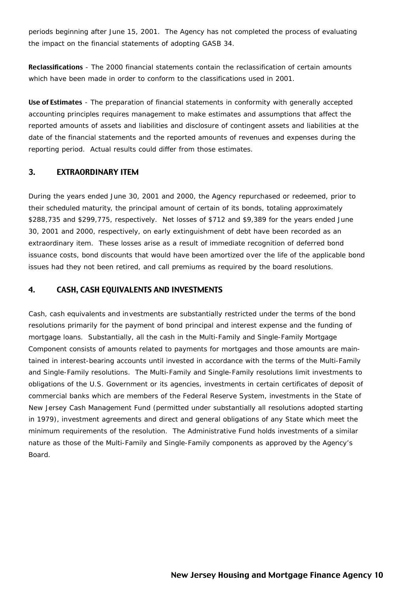periods beginning after June 15, 2001. The Agency has not completed the process of evaluating the impact on the financial statements of adopting GASB 34.

Reclassifications - The 2000 financial statements contain the reclassification of certain amounts which have been made in order to conform to the classifications used in 2001.

Use of Estimates - The preparation of financial statements in conformity with generally accepted accounting principles requires management to make estimates and assumptions that affect the reported amounts of assets and liabilities and disclosure of contingent assets and liabilities at the date of the financial statements and the reported amounts of revenues and expenses during the reporting period. Actual results could differ from those estimates.

## 3. EXTRAORDINARY ITEM

During the years ended June 30, 2001 and 2000, the Agency repurchased or redeemed, prior to their scheduled maturity, the principal amount of certain of its bonds, totaling approximately \$288,735 and \$299,775, respectively. Net losses of \$712 and \$9,389 for the years ended June 30, 2001 and 2000, respectively, on early extinguishment of debt have been recorded as an extraordinary item. These losses arise as a result of immediate recognition of deferred bond issuance costs, bond discounts that would have been amortized over the life of the applicable bond issues had they not been retired, and call premiums as required by the board resolutions.

#### 4. CASH, CASH EQUIVALENTS AND INVESTMENTS

Cash, cash equivalents and investments are substantially restricted under the terms of the bond resolutions primarily for the payment of bond principal and interest expense and the funding of mortgage loans. Substantially, all the cash in the Multi-Family and Single-Family Mortgage Component consists of amounts related to payments for mortgages and those amounts are maintained in interest-bearing accounts until invested in accordance with the terms of the Multi-Family and Single-Family resolutions. The Multi-Family and Single-Family resolutions limit investments to obligations of the U.S. Government or its agencies, investments in certain certificates of deposit of commercial banks which are members of the Federal Reserve System, investments in the State of New Jersey Cash Management Fund (permitted under substantially all resolutions adopted starting in 1979), investment agreements and direct and general obligations of any State which meet the minimum requirements of the resolution. The Administrative Fund holds investments of a similar nature as those of the Multi-Family and Single-Family components as approved by the Agency's Board.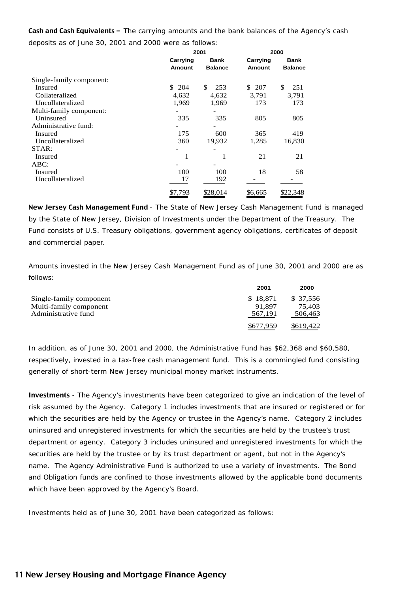Cash and Cash Equivalents - The carrying amounts and the bank balances of the Agency's cash deposits as of June 30, 2001 and 2000 were as follows:

|                          |                    | 2001                   |                           |                        |
|--------------------------|--------------------|------------------------|---------------------------|------------------------|
|                          | Carrying<br>Amount | Bank<br><b>Balance</b> | Carrying<br><b>Amount</b> | Bank<br><b>Balance</b> |
| Single-family component: |                    |                        |                           |                        |
| Insured                  | \$204              | \$<br>253              | \$207                     | \$<br>251              |
| Collateralized           | 4,632              | 4,632                  | 3,791                     | 3,791                  |
| Uncollateralized         | 1,969              | 1,969                  | 173                       | 173                    |
| Multi-family component:  |                    |                        |                           |                        |
| Uninsured                | 335                | 335                    | 805                       | 805                    |
| Administrative fund:     |                    |                        |                           |                        |
| Insured                  | 175                | 600                    | 365                       | 419                    |
| Uncollateralized         | 360                | 19,932                 | 1,285                     | 16,830                 |
| STAR:                    |                    |                        |                           |                        |
| Insured                  | 1                  | 1                      | 21                        | 21                     |
| $ABC$ :                  |                    |                        |                           |                        |
| <b>Insured</b>           | 100                | 100                    | 18                        | 58                     |
| Uncollateralized         | 17                 | 192                    |                           |                        |
|                          | \$7,793            | \$28,014               | \$6,665                   | \$22,348               |

New Jersey Cash Management Fund - The State of New Jersey Cash Management Fund is managed by the State of New Jersey, Division of Investments under the Department of the Treasury. The Fund consists of U.S. Treasury obligations, government agency obligations, certificates of deposit and commercial paper.

Amounts invested in the New Jersey Cash Management Fund as of June 30, 2001 and 2000 are as follows:

|                         | 2001      | 2000      |
|-------------------------|-----------|-----------|
| Single-family component | \$18.871  | \$37,556  |
| Multi-family component  | 91.897    | 75.403    |
| Administrative fund     | 567.191   | 506,463   |
|                         | \$677,959 | \$619.422 |

In addition, as of June 30, 2001 and 2000, the Administrative Fund has \$62,368 and \$60,580, respectively, invested in a tax-free cash management fund. This is a commingled fund consisting generally of short-term New Jersey municipal money market instruments.

Investments - The Agency's investments have been categorized to give an indication of the level of risk assumed by the Agency. Category 1 includes investments that are insured or registered or for which the securities are held by the Agency or trustee in the Agency's name. Category 2 includes uninsured and unregistered investments for which the securities are held by the trustee's trust department or agency. Category 3 includes uninsured and unregistered investments for which the securities are held by the trustee or by its trust department or agent, but not in the Agency's name. The Agency Administrative Fund is authorized to use a variety of investments. The Bond and Obligation funds are confined to those investments allowed by the applicable bond documents which have been approved by the Agency's Board.

Investments held as of June 30, 2001 have been categorized as follows: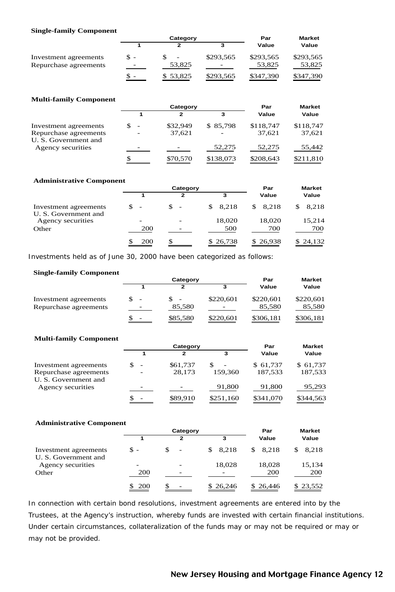#### **Single-family Component**

|                       |                   | Category                 | Par       | <b>Market</b> |           |
|-----------------------|-------------------|--------------------------|-----------|---------------|-----------|
|                       |                   |                          |           | Value         | Value     |
| Investment agreements | \$ -              | $\overline{\phantom{a}}$ | \$293.565 | \$293.565     | \$293,565 |
| Repurchase agreements | $\qquad \qquad =$ | 53,825                   | -         | 53,825        | 53,825    |
|                       | $s -$             | \$53,825                 | \$293.565 | \$347,390     | \$347.390 |

#### **Multi-family Component**

|                                               |                          | Category | Par       | <b>Market</b> |           |
|-----------------------------------------------|--------------------------|----------|-----------|---------------|-----------|
|                                               |                          | 2        | 3         | Value         | Value     |
| Investment agreements                         | $\overline{\phantom{0}}$ | \$32,949 | \$85,798  | \$118,747     | \$118,747 |
| Repurchase agreements<br>U. S. Government and |                          | 37,621   |           | 37.621        | 37,621    |
| Agency securities                             | -                        |          | 52,275    | 52,275        | 55,442    |
|                                               |                          | \$70,570 | \$138,073 | \$208,643     | \$211,810 |

#### **Administrative Component**

|                                               |                                 | Category      | Par          | <b>Market</b> |             |
|-----------------------------------------------|---------------------------------|---------------|--------------|---------------|-------------|
|                                               |                                 | $\mathbf{2}$  | 3            | Value         | Value       |
| Investment agreements<br>U. S. Government and | \$.<br>$\overline{\phantom{a}}$ | \$.<br>$\sim$ | 8.218<br>SS. | \$8.218       | 8.218<br>S. |
| Agency securities                             | ۰                               |               | 18.020       | 18,020        | 15,214      |
| Other                                         | 200                             |               | 500          | 700           | 700         |
|                                               | 200                             | S.            | \$26,738     | \$26,938      | \$24,132    |

Investments held as of June 30, 2000 have been categorized as follows:

#### **Single-family Component**

|                       |                          | Category | Par       | <b>Market</b> |           |
|-----------------------|--------------------------|----------|-----------|---------------|-----------|
|                       |                          | 2        |           | Value         | Value     |
| Investment agreements | $\qquad \qquad$          |          | \$220,601 | \$220,601     | \$220,601 |
| Repurchase agreements |                          | 85,580   |           | 85.580        | 85,580    |
|                       | $\overline{\phantom{a}}$ | \$85,580 | \$220,601 | \$306,181     | \$306,181 |

#### **Multi-family Component**

|                       |                | Category |           | Par       | <b>Market</b> |  |
|-----------------------|----------------|----------|-----------|-----------|---------------|--|
|                       |                | 2        | 3         | Value     | Value         |  |
| Investment agreements | $\overline{a}$ | \$61,737 |           | \$61,737  | \$61,737      |  |
| Repurchase agreements | ۰              | 28.173   | 159,360   | 187,533   | 187,533       |  |
| U. S. Government and  |                |          |           |           |               |  |
| Agency securities     | -              |          | 91,800    | 91,800    | 95,293        |  |
|                       | ۰              | \$89,910 | \$251,160 | \$341,070 | \$344,563     |  |

#### **Administrative Component**

|                                               |                          | Category                       | Par          | <b>Market</b> |              |
|-----------------------------------------------|--------------------------|--------------------------------|--------------|---------------|--------------|
|                                               |                          | $\mathbf{2}$                   | 3            | Value         | Value        |
| Investment agreements<br>U. S. Government and | $S -$                    | \$<br>$\overline{\phantom{a}}$ | 8.218<br>\$. | 8.218<br>\$.  | 8.218<br>\$. |
| Agency securities                             | $\overline{\phantom{a}}$ |                                | 18.028       | 18,028        | 15,134       |
| Other                                         | 200                      | -                              |              | <b>200</b>    | <b>200</b>   |
|                                               | \$ 200                   | \$                             | \$26,246     | \$26,446      | \$23,552     |

In connection with certain bond resolutions, investment agreements are entered into by the Trustees, at the Agency's instruction, whereby funds are invested with certain financial institutions. Under certain circumstances, collateralization of the funds may or may not be required or may or may not be provided.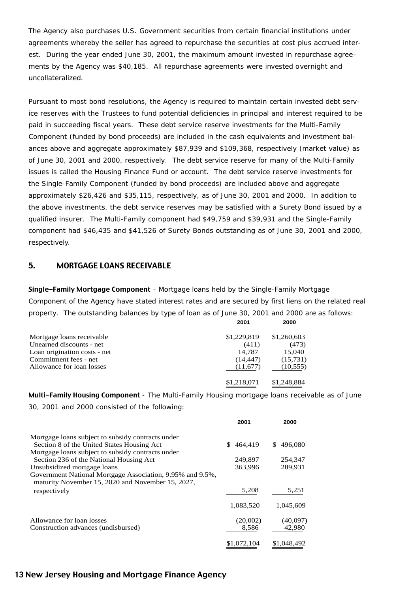The Agency also purchases U.S. Government securities from certain financial institutions under agreements whereby the seller has agreed to repurchase the securities at cost plus accrued interest. During the year ended June 30, 2001, the maximum amount invested in repurchase agreements by the Agency was \$40,185. All repurchase agreements were invested overnight and uncollateralized.

Pursuant to most bond resolutions, the Agency is required to maintain certain invested debt service reserves with the Trustees to fund potential deficiencies in principal and interest required to be paid in succeeding fiscal years. These debt service reserve investments for the Multi-Family Component (funded by bond proceeds) are included in the cash equivalents and investment balances above and aggregate approximately \$87,939 and \$109,368, respectively (market value) as of June 30, 2001 and 2000, respectively. The debt service reserve for many of the Multi-Family issues is called the Housing Finance Fund or account. The debt service reserve investments for the Single-Family Component (funded by bond proceeds) are included above and aggregate approximately \$26,426 and \$35,115, respectively, as of June 30, 2001 and 2000. In addition to the above investments, the debt service reserves may be satisfied with a Surety Bond issued by a qualified insurer. The Multi-Family component had \$49,759 and \$39,931 and the Single-Family component had \$46,435 and \$41,526 of Surety Bonds outstanding as of June 30, 2001 and 2000, respectively.

#### 5. MORTGAGE LOANS RECEIVABLE

Single-Family Mortgage Component - Mortgage loans held by the Single-Family Mortgage Component of the Agency have stated interest rates and are secured by first liens on the related real property. The outstanding balances by type of loan as of June 30, 2001 and 2000 are as follows:

|                              | 2001        | 2000        |
|------------------------------|-------------|-------------|
| Mortgage loans receivable    | \$1,229,819 | \$1,260,603 |
| Unearned discounts - net     | (411)       | (473)       |
| Loan origination costs - net | 14,787      | 15,040      |
| Commitment fees - net        | (14, 447)   | (15,731)    |
| Allowance for loan losses    | (11,677)    | (10, 555)   |
|                              | \$1,218,071 | \$1,248,884 |

Multi-Family Housing Component - The Multi-Family Housing mortgage loans receivable as of June 30, 2001 and 2000 consisted of the following:

|                                                                                                                | 2001          | 2000          |
|----------------------------------------------------------------------------------------------------------------|---------------|---------------|
| Mortgage loans subject to subsidy contracts under                                                              |               |               |
| Section 8 of the United States Housing Act                                                                     | 464.419<br>S. | 496,080<br>S. |
| Mortgage loans subject to subsidy contracts under                                                              |               |               |
| Section 236 of the National Housing Act                                                                        | 249,897       | 254,347       |
| Unsubsidized mortgage loans                                                                                    | 363,996       | 289.931       |
| Government National Mortgage Association, 9.95% and 9.5%,<br>maturity November 15, 2020 and November 15, 2027, |               |               |
| respectively                                                                                                   | 5,208         | 5,251         |
|                                                                                                                | 1.083.520     | 1.045.609     |
| Allowance for loan losses                                                                                      | (20,002)      | (40,097)      |
| Construction advances (undisbursed)                                                                            | 8,586         | 42,980        |
|                                                                                                                | \$1,072,104   | \$1,048,492   |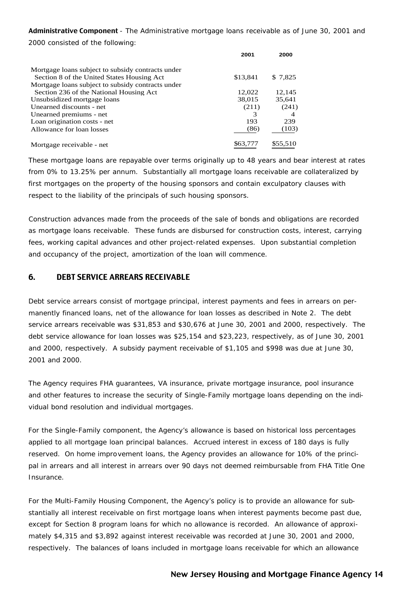Administrative Component - The Administrative mortgage loans receivable as of June 30, 2001 and 2000 consisted of the following:

|                                                   | 2001     | 2000     |
|---------------------------------------------------|----------|----------|
| Mortgage loans subject to subsidy contracts under |          |          |
| Section 8 of the United States Housing Act        | \$13,841 | \$7,825  |
| Mortgage loans subject to subsidy contracts under |          |          |
| Section 236 of the National Housing Act           | 12,022   | 12,145   |
| Unsubsidized mortgage loans                       | 38,015   | 35,641   |
| Unearned discounts - net                          | (211)    | (241)    |
| Unearned premiums - net                           | 3        |          |
| Loan origination costs - net                      | 193      | 239      |
| Allowance for loan losses                         | (86)     | (103)    |
| Mortgage receivable - net                         | \$63,777 | \$55,510 |

These mortgage loans are repayable over terms originally up to 48 years and bear interest at rates from 0% to 13.25% per annum. Substantially all mortgage loans receivable are collateralized by first mortgages on the property of the housing sponsors and contain exculpatory clauses with respect to the liability of the principals of such housing sponsors.

Construction advances made from the proceeds of the sale of bonds and obligations are recorded as mortgage loans receivable. These funds are disbursed for construction costs, interest, carrying fees, working capital advances and other project-related expenses. Upon substantial completion and occupancy of the project, amortization of the loan will commence.

# 6. DEBT SERVICE ARREARS RECEIVABLE

Debt service arrears consist of mortgage principal, interest payments and fees in arrears on permanently financed loans, net of the allowance for loan losses as described in Note 2. The debt service arrears receivable was \$31,853 and \$30,676 at June 30, 2001 and 2000, respectively. The debt service allowance for loan losses was \$25,154 and \$23,223, respectively, as of June 30, 2001 and 2000, respectively. A subsidy payment receivable of \$1,105 and \$998 was due at June 30, 2001 and 2000.

The Agency requires FHA guarantees, VA insurance, private mortgage insurance, pool insurance and other features to increase the security of Single-Family mortgage loans depending on the individual bond resolution and individual mortgages.

For the Single-Family component, the Agency's allowance is based on historical loss percentages applied to all mortgage loan principal balances. Accrued interest in excess of 180 days is fully reserved. On home improvement loans, the Agency provides an allowance for 10% of the principal in arrears and all interest in arrears over 90 days not deemed reimbursable from FHA Title One Insurance.

For the Multi-Family Housing Component, the Agency's policy is to provide an allowance for substantially all interest receivable on first mortgage loans when interest payments become past due, except for Section 8 program loans for which no allowance is recorded. An allowance of approximately \$4,315 and \$3,892 against interest receivable was recorded at June 30, 2001 and 2000, respectively. The balances of loans included in mortgage loans receivable for which an allowance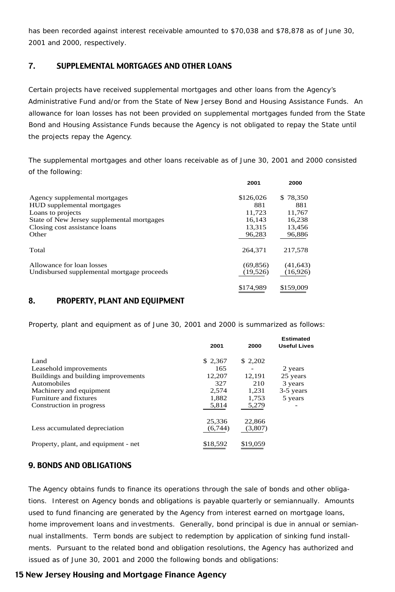has been recorded against interest receivable amounted to \$70,038 and \$78,878 as of June 30, 2001 and 2000, respectively.

# 7. SUPPLEMENTAL MORTGAGES AND OTHER LOANS

Certain projects have received supplemental mortgages and other loans from the Agency's Administrative Fund and/or from the State of New Jersey Bond and Housing Assistance Funds. An allowance for loan losses has not been provided on supplemental mortgages funded from the State Bond and Housing Assistance Funds because the Agency is not obligated to repay the State until the projects repay the Agency.

The supplemental mortgages and other loans receivable as of June 30, 2001 and 2000 consisted of the following:

|                                            | 2001      | 2000      |
|--------------------------------------------|-----------|-----------|
| Agency supplemental mortgages              | \$126,026 | \$78,350  |
| HUD supplemental mortgages                 | 881       | 881       |
| Loans to projects                          | 11,723    | 11,767    |
| State of New Jersey supplemental mortgages | 16.143    | 16.238    |
| Closing cost assistance loans              | 13.315    | 13.456    |
| Other                                      | 96,283    | 96,886    |
| Total                                      | 264,371   | 217,578   |
| Allowance for loan losses                  | (69, 856) | (41, 643) |
| Undisbursed supplemental mortgage proceeds | (19,526)  | (16,926)  |
|                                            | \$174.989 | \$159,009 |
|                                            |           |           |

# 8. PROPERTY, PLANT AND EQUIPMENT

Property, plant and equipment as of June 30, 2001 and 2000 is summarized as follows:

|                                                                                                                                                                       | 2001                                                        | 2000                                                 | <b>Estimated</b><br><b>Useful Lives</b>                |
|-----------------------------------------------------------------------------------------------------------------------------------------------------------------------|-------------------------------------------------------------|------------------------------------------------------|--------------------------------------------------------|
| Land<br>Leasehold improvements<br>Buildings and building improvements<br>Automobiles<br>Machinery and equipment<br>Furniture and fixtures<br>Construction in progress | \$ 2,367<br>165<br>12,207<br>327<br>2,574<br>1,882<br>5,814 | \$ 2,202<br>12,191<br>210<br>1,231<br>1,753<br>5,279 | 2 years<br>25 years<br>3 years<br>3-5 years<br>5 years |
| Less accumulated depreciation<br>Property, plant, and equipment - net                                                                                                 | 25,336<br>(6,744)<br>\$18,592                               | 22,866<br>(3,807)<br>\$19,059                        |                                                        |

# 9. BONDS AND OBLIGATIONS

The Agency obtains funds to finance its operations through the sale of bonds and other obligations. Interest on Agency bonds and obligations is payable quarterly or semiannually. Amounts used to fund financing are generated by the Agency from interest earned on mortgage loans, home improvement loans and investments. Generally, bond principal is due in annual or semiannual installments. Term bonds are subject to redemption by application of sinking fund installments. Pursuant to the related bond and obligation resolutions, the Agency has authorized and issued as of June 30, 2001 and 2000 the following bonds and obligations: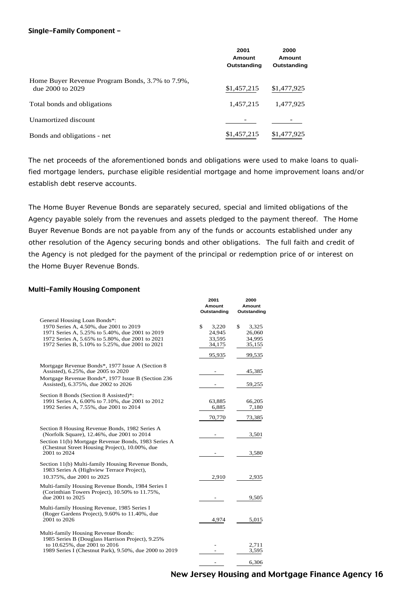#### Single-Family Component -

|                                                                     | 2001<br>Amount<br>Outstanding | 2000<br>Amount<br>Outstanding |
|---------------------------------------------------------------------|-------------------------------|-------------------------------|
| Home Buyer Revenue Program Bonds, 3.7% to 7.9%,<br>due 2000 to 2029 | \$1,457,215                   | \$1,477,925                   |
| Total bonds and obligations                                         | 1,457,215                     | 1,477,925                     |
| Unamortized discount                                                |                               |                               |
| Bonds and obligations - net                                         | \$1,457,215                   | \$1,477,925                   |

The net proceeds of the aforementioned bonds and obligations were used to make loans to qualified mortgage lenders, purchase eligible residential mortgage and home improvement loans and/or establish debt reserve accounts.

The Home Buyer Revenue Bonds are separately secured, special and limited obligations of the Agency payable solely from the revenues and assets pledged to the payment thereof. The Home Buyer Revenue Bonds are not payable from any of the funds or accounts established under any other resolution of the Agency securing bonds and other obligations. The full faith and credit of the Agency is not pledged for the payment of the principal or redemption price of or interest on the Home Buyer Revenue Bonds.

#### Multi-Family Housing Component –

|                                                                                                | 2001        | 2000        |
|------------------------------------------------------------------------------------------------|-------------|-------------|
|                                                                                                | Amount      | Amount      |
|                                                                                                | Outstanding | Outstanding |
| General Housing Loan Bonds*:                                                                   |             |             |
| 1970 Series A, 4.50%, due 2001 to 2019                                                         | \$<br>3,220 | \$<br>3,325 |
| 1971 Series A, 5.25% to 5.40%, due 2001 to 2019                                                | 24,945      | 26,060      |
| 1972 Series A, 5.65% to 5.80%, due 2001 to 2021                                                | 33,595      | 34,995      |
| 1972 Series B, 5.10% to 5.25%, due 2001 to 2021                                                | 34,175      | 35,155      |
|                                                                                                | 95,935      | 99,535      |
| Mortgage Revenue Bonds*, 1977 Issue A (Section 8)                                              |             |             |
| Assisted), 6.25%, due 2005 to 2020                                                             |             | 45,385      |
| Mortgage Revenue Bonds*, 1977 Issue B (Section 236)                                            |             |             |
| Assisted), 6.375%, due 2002 to 2026                                                            |             | 59,255      |
|                                                                                                |             |             |
| Section 8 Bonds (Section 8 Assisted)*:<br>1991 Series A, 6.00% to 7.10%, due 2001 to 2012      | 63,885      | 66,205      |
| 1992 Series A, 7.55%, due 2001 to 2014                                                         | 6,885       | 7,180       |
|                                                                                                |             |             |
|                                                                                                | 70,770      | 73,385      |
| Section 8 Housing Revenue Bonds, 1982 Series A                                                 |             |             |
| (Norfolk Square), 12.46%, due 2001 to 2014                                                     |             | 3,501       |
| Section 11(b) Mortgage Revenue Bonds, 1983 Series A                                            |             |             |
| (Chestnut Street Housing Project), 10.00%, due                                                 |             |             |
| 2001 to 2024                                                                                   |             | 3,580       |
|                                                                                                |             |             |
| Section 11(b) Multi-family Housing Revenue Bonds,<br>1983 Series A (Highview Terrace Project), |             |             |
| 10.375%, due 2001 to 2025                                                                      | 2,910       |             |
|                                                                                                |             | 2,935       |
| Multi-family Housing Revenue Bonds, 1984 Series I                                              |             |             |
| (Corinthian Towers Project), 10.50% to 11.75%,                                                 |             |             |
| due 2001 to 2025                                                                               |             | 9,505       |
| Multi-family Housing Revenue, 1985 Series I                                                    |             |             |
| (Roger Gardens Project), 9.60% to 11.40%, due                                                  |             |             |
| 2001 to 2026                                                                                   | 4,974       | 5,015       |
|                                                                                                |             |             |
| Multi-family Housing Revenue Bonds:                                                            |             |             |
| 1985 Series B (Douglass Harrison Project), 9.25%<br>to 10.625%, due 2001 to 2016               |             | 2,711       |
| 1989 Series I (Chestnut Park), 9.50%, due 2000 to 2019                                         |             | 3,595       |
|                                                                                                |             |             |
|                                                                                                |             | 6,306       |
|                                                                                                |             |             |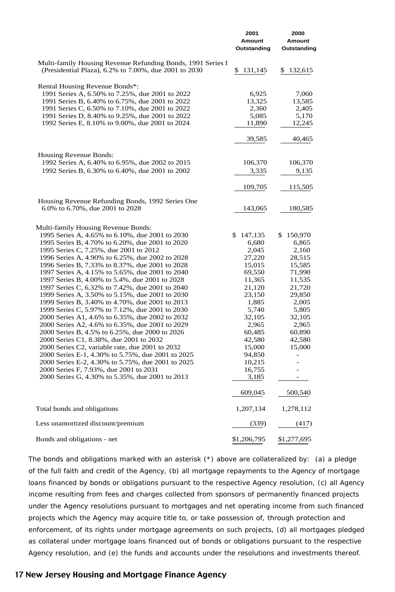|                                                                                                      | 2001<br>Amount<br>Outstanding | 2000<br>Amount<br>Outstanding |
|------------------------------------------------------------------------------------------------------|-------------------------------|-------------------------------|
| Multi-family Housing Revenue Refunding Bonds, 1991 Series I                                          |                               |                               |
| (Presidential Plaza), 6.2% to 7.00%, due 2001 to 2030                                                | \$<br>131,145                 | 132,615<br>S                  |
| Rental Housing Revenue Bonds*:                                                                       |                               |                               |
| 1991 Series A, 6.50% to 7.25%, due 2001 to 2022                                                      | 6,925                         | 7,060                         |
| 1991 Series B, 6.40% to 6.75%, due 2001 to 2022                                                      | 13,325                        | 13,585                        |
| 1991 Series C, 6.50% to 7.10%, due 2001 to 2022                                                      | 2,360                         | 2,405                         |
| 1991 Series D, 8.40% to 9.25%, due 2001 to 2022                                                      | 5,085                         | 5,170                         |
| 1992 Series E, 8.10% to 9.00%, due 2001 to 2024                                                      | 11,890                        | 12,245                        |
|                                                                                                      | 39,585                        | 40,465                        |
| Housing Revenue Bonds:                                                                               |                               |                               |
| 1992 Series A, 6.40% to 6.95%, due 2002 to 2015                                                      | 106,370                       | 106,370                       |
| 1992 Series B, 6.30% to 6.40%, due 2001 to 2002                                                      | 3,335                         | 9,135                         |
|                                                                                                      |                               |                               |
|                                                                                                      | 109,705                       | 115,505                       |
| Housing Revenue Refunding Bonds, 1992 Series One                                                     |                               |                               |
| 6.0% to 6.70%, due 2001 to 2028                                                                      | 143,065                       | 180,585                       |
|                                                                                                      |                               |                               |
| Multi-family Housing Revenue Bonds:<br>1995 Series A, 4.65% to 6.10%, due 2001 to 2030               | 147,135<br>\$                 | 150,970<br>\$                 |
| 1995 Series B, 4.70% to 6.20%, due 2001 to 2020                                                      | 6,680                         | 6,865                         |
| 1995 Series C, 7.25%, due 2001 to 2012                                                               | 2,045                         | 2,160                         |
| 1996 Series A, 4.90% to 6.25%, due 2002 to 2028                                                      | 27,220                        | 28,515                        |
| 1996 Series B, 7.33% to 8.37%, due 2001 to 2028                                                      | 15,015                        | 15,585                        |
| 1997 Series A, 4.15% to 5.65%, due 2001 to 2040                                                      | 69,550                        | 71,990                        |
| 1997 Series B, 4.00% to 5.4%, due 2001 to 2028                                                       | 11,365                        | 11,535                        |
| 1997 Series C, 6.32% to 7.42%, due 2001 to 2040                                                      | 21,120                        | 21,720                        |
| 1999 Series A, 3.50% to 5.15%, due 2001 to 2030                                                      | 23,150                        | 29,850                        |
| 1999 Series B, 3.40% to 4.70%, due 2001 to 2013                                                      | 1,885                         | 2,005                         |
| 1999 Series C, 5.97% to 7.12%, due 2001 to 2030                                                      | 5,740                         | 5,805                         |
| 2000 Series A1, 4.6% to 6.35%, due 2002 to 2032                                                      | 32,105                        | 32,105                        |
| 2000 Series A2, 4.6% to 6.35%, due 2001 to 2029                                                      | 2,965                         | 2,965                         |
| 2000 Series B, 4.5% to 6.25%, due 2000 to 2026                                                       | 60,485                        | 60,890                        |
| 2000 Series C1, 8.38%, due 2001 to 2032                                                              | 42,580                        | 42,580                        |
| 2000 Series C2, variable rate, due 2001 to 2032<br>2000 Series E-1, 4.30% to 5.75%, due 2001 to 2025 | 15,000<br>94,850              | 15,000                        |
| 2000 Series E-2, 4.30% to 5.75%, due 2001 to 2025                                                    | 10,215                        |                               |
| 2000 Series F, 7.93%, due 2001 to 2031                                                               | 16,755                        |                               |
| 2000 Series G, 4.30% to 5.35%, due 2001 to 2013                                                      | 3,185                         |                               |
|                                                                                                      | 609,045                       | 500,540                       |
| Total bonds and obligations                                                                          | 1,207,134                     | 1,278,112                     |
| Less unamortized discount/premium                                                                    | (339)                         | (417)                         |
| Bonds and obligations - net                                                                          | \$1,206,795                   | \$1,277,695                   |

The bonds and obligations marked with an asterisk (\*) above are collateralized by: (a) a pledge of the full faith and credit of the Agency, (b) all mortgage repayments to the Agency of mortgage loans financed by bonds or obligations pursuant to the respective Agency resolution, (c) all Agency income resulting from fees and charges collected from sponsors of permanently financed projects under the Agency resolutions pursuant to mortgages and net operating income from such financed projects which the Agency may acquire title to, or take possession of, through protection and enforcement, of its rights under mortgage agreements on such projects, (d) all mortgages pledged as collateral under mortgage loans financed out of bonds or obligations pursuant to the respective Agency resolution, and (e) the funds and accounts under the resolutions and investments thereof.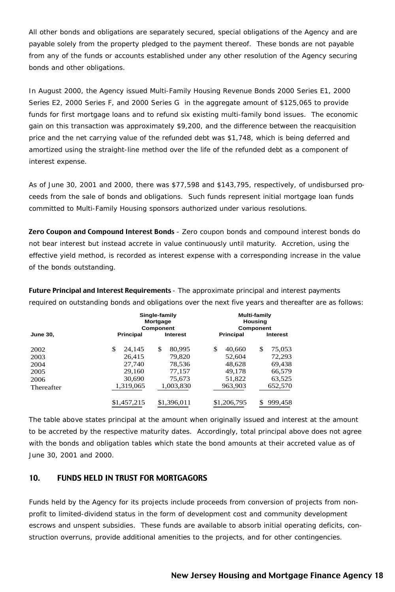All other bonds and obligations are separately secured, special obligations of the Agency and are payable solely from the property pledged to the payment thereof. These bonds are not payable from any of the funds or accounts established under any other resolution of the Agency securing bonds and other obligations.

In August 2000, the Agency issued Multi-Family Housing Revenue Bonds 2000 Series E1, 2000 Series E2, 2000 Series F, and 2000 Series G in the aggregate amount of \$125,065 to provide funds for first mortgage loans and to refund six existing multi-family bond issues. The economic gain on this transaction was approximately \$9,200, and the difference between the reacquisition price and the net carrying value of the refunded debt was \$1,748, which is being deferred and amortized using the straight-line method over the life of the refunded debt as a component of interest expense.

As of June 30, 2001 and 2000, there was \$77,598 and \$143,795, respectively, of undisbursed proceeds from the sale of bonds and obligations. Such funds represent initial mortgage loan funds committed to Multi-Family Housing sponsors authorized under various resolutions.

Zero Coupon and Compound Interest Bonds - Zero coupon bonds and compound interest bonds do not bear interest but instead accrete in value continuously until maturity. Accretion, using the effective yield method, is recorded as interest expense with a corresponding increase in the value of the bonds outstanding.

Future Principal and Interest Requirements - The approximate principal and interest payments required on outstanding bonds and obligations over the next five years and thereafter are as follows:

|                 |                  | Single-family<br>Mortgage<br>Component |                  | <b>Multi-family</b><br>Housing<br>Component |
|-----------------|------------------|----------------------------------------|------------------|---------------------------------------------|
| <b>June 30,</b> | <b>Principal</b> | <b>Interest</b>                        | <b>Principal</b> | <b>Interest</b>                             |
| 2002            | \$<br>24,145     | \$<br>80,995                           | \$<br>40,660     | \$<br>75,053                                |
| 2003            | 26.415           | 79.820                                 | 52.604           | 72,293                                      |
| 2004            | 27,740           | 78,536                                 | 48,628           | 69,438                                      |
| 2005            | 29.160           | 77,157                                 | 49.178           | 66,579                                      |
| 2006            | 30,690           | 75,673                                 | 51,822           | 63,525                                      |
| Thereafter      | 1,319,065        | 1,003,830                              | 963,903          | 652,570                                     |
|                 | \$1,457,215      | \$1,396,011                            | \$1,206,795      | 999,458                                     |

The table above states principal at the amount when originally issued and interest at the amount to be accreted by the respective maturity dates. Accordingly, total principal above does not agree with the bonds and obligation tables which state the bond amounts at their accreted value as of June 30, 2001 and 2000.

# 10. FUNDS HELD IN TRUST FOR MORTGAGORS

Funds held by the Agency for its projects include proceeds from conversion of projects from nonprofit to limited-dividend status in the form of development cost and community development escrows and unspent subsidies. These funds are available to absorb initial operating deficits, construction overruns, provide additional amenities to the projects, and for other contingencies.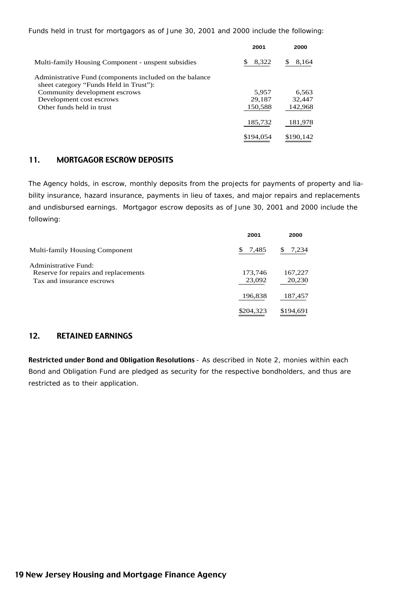Funds held in trust for mortgagors as of June 30, 2001 and 2000 include the following:

|                                                          | 2001       | 2000      |
|----------------------------------------------------------|------------|-----------|
| Multi-family Housing Component - unspent subsidies       | S<br>8,322 | 8,164     |
| Administrative Fund (components included on the balance) |            |           |
| sheet category "Funds Held in Trust"):                   |            |           |
| Community development escrows                            | 5.957      | 6,563     |
| Development cost escrows                                 | 29.187     | 32,447    |
| Other funds held in trust                                | 150,588    | 142,968   |
|                                                          | 185,732    | 181,978   |
|                                                          | \$194.054  | \$190.142 |

#### 11. MORTGAGOR ESCROW DEPOSITS

The Agency holds, in escrow, monthly deposits from the projects for payments of property and liability insurance, hazard insurance, payments in lieu of taxes, and major repairs and replacements and undisbursed earnings. Mortgagor escrow deposits as of June 30, 2001 and 2000 include the following:

|                                                                                           | 2001              | 2000              |
|-------------------------------------------------------------------------------------------|-------------------|-------------------|
| <b>Multi-family Housing Component</b>                                                     | S.<br>7,485       | 7,234             |
| Administrative Fund:<br>Reserve for repairs and replacements<br>Tax and insurance escrows | 173,746<br>23,092 | 167,227<br>20,230 |
|                                                                                           | 196,838           | 187,457           |
|                                                                                           | \$204,323         | \$194,691         |

## 12. RETAINED EARNINGS

Restricted under Bond and Obligation Resolutions - As described in Note 2, monies within each Bond and Obligation Fund are pledged as security for the respective bondholders, and thus are restricted as to their application.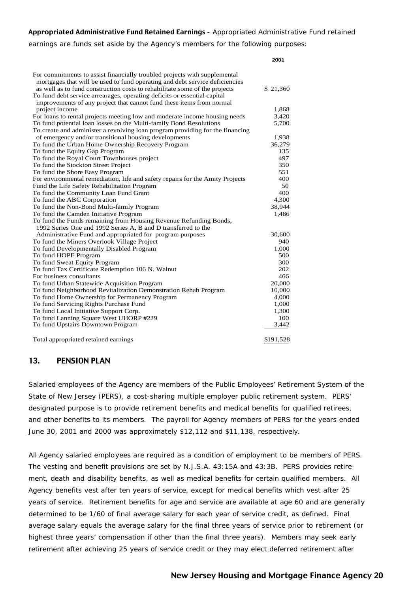#### Appropriated Administrative Fund Retained Earnings - Appropriated Administrative Fund retained

earnings are funds set aside by the Agency's members for the following purposes:

|                                                                               | 2001      |
|-------------------------------------------------------------------------------|-----------|
| For commitments to assist financially troubled projects with supplemental     |           |
| mortgages that will be used to fund operating and debt service deficiencies   |           |
| as well as to fund construction costs to rehabilitate some of the projects    | \$21,360  |
| To fund debt service arrearages, operating deficits or essential capital      |           |
| improvements of any project that cannot fund these items from normal          |           |
| project income                                                                | 1,868     |
| For loans to rental projects meeting low and moderate income housing needs    | 3,420     |
| To fund potential loan losses on the Multi-family Bond Resolutions            | 5,700     |
| To create and administer a revolving loan program providing for the financing |           |
| of emergency and/or transitional housing developments                         | 1,938     |
| To fund the Urban Home Ownership Recovery Program                             | 36,279    |
| To fund the Equity Gap Program                                                | 135       |
| To fund the Royal Court Townhouses project                                    | 497       |
| To fund the Stockton Street Project                                           | 350       |
| To fund the Shore Easy Program                                                | 551       |
| For environmental remediation, life and safety repairs for the Amity Projects | 400       |
| Fund the Life Safety Rehabilitation Program                                   | 50        |
| To fund the Community Loan Fund Grant                                         | 400       |
| To fund the ABC Corporation                                                   | 4,300     |
| To fund the Non-Bond Multi-family Program                                     | 38,944    |
| To fund the Camden Initiative Program                                         | 1,486     |
| To fund the Funds remaining from Housing Revenue Refunding Bonds,             |           |
| 1992 Series One and 1992 Series A, B and D transferred to the                 |           |
| Administrative Fund and appropriated for program purposes                     | 30,600    |
| To fund the Miners Overlook Village Project                                   | 940       |
| To fund Developmentally Disabled Program                                      | 1,000     |
| To fund HOPE Program                                                          | 500       |
| To fund Sweat Equity Program                                                  | 300       |
| To fund Tax Certificate Redemption 106 N. Walnut                              | 202       |
| For business consultants                                                      | 466       |
| To fund Urban Statewide Acquisition Program                                   | 20,000    |
| To fund Neighborhood Revitalization Demonstration Rehab Program               | 10,000    |
| To fund Home Ownership for Permanency Program                                 | 4,000     |
| To fund Servicing Rights Purchase Fund                                        | 1,000     |
| To fund Local Initiative Support Corp.                                        | 1,300     |
| To fund Lanning Square West UHORP #229                                        | 100       |
| To fund Upstairs Downtown Program                                             | 3,442     |
| Total appropriated retained earnings                                          | \$191,528 |

#### 13. PENSION PLAN

Salaried employees of the Agency are members of the Public Employees' Retirement System of the State of New Jersey (PERS), a cost-sharing multiple employer public retirement system. PERS' designated purpose is to provide retirement benefits and medical benefits for qualified retirees, and other benefits to its members. The payroll for Agency members of PERS for the years ended June 30, 2001 and 2000 was approximately \$12,112 and \$11,138, respectively.

All Agency salaried employees are required as a condition of employment to be members of PERS. The vesting and benefit provisions are set by N.J.S.A. 43:15A and 43:3B. PERS provides retirement, death and disability benefits, as well as medical benefits for certain qualified members. All Agency benefits vest after ten years of service, except for medical benefits which vest after 25 years of service. Retirement benefits for age and service are available at age 60 and are generally determined to be 1/60 of final average salary for each year of service credit, as defined. Final average salary equals the average salary for the final three years of service prior to retirement (or highest three years' compensation if other than the final three years). Members may seek early retirement after achieving 25 years of service credit or they may elect deferred retirement after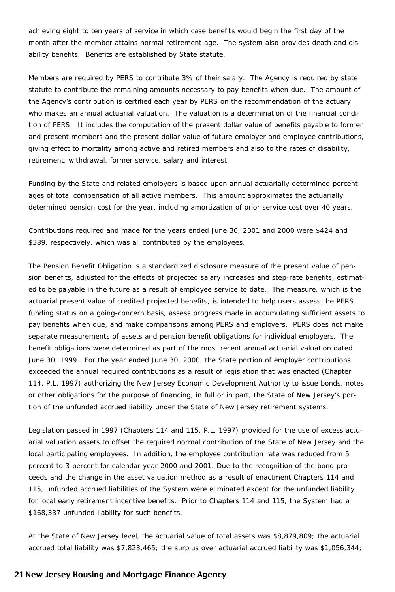achieving eight to ten years of service in which case benefits would begin the first day of the month after the member attains normal retirement age. The system also provides death and disability benefits. Benefits are established by State statute.

Members are required by PERS to contribute 3% of their salary. The Agency is required by state statute to contribute the remaining amounts necessary to pay benefits when due. The amount of the Agency's contribution is certified each year by PERS on the recommendation of the actuary who makes an annual actuarial valuation. The valuation is a determination of the financial condition of PERS. It includes the computation of the present dollar value of benefits payable to former and present members and the present dollar value of future employer and employee contributions, giving effect to mortality among active and retired members and also to the rates of disability, retirement, withdrawal, former service, salary and interest.

Funding by the State and related employers is based upon annual actuarially determined percentages of total compensation of all active members. This amount approximates the actuarially determined pension cost for the year, including amortization of prior service cost over 40 years.

Contributions required and made for the years ended June 30, 2001 and 2000 were \$424 and \$389, respectively, which was all contributed by the employees.

The Pension Benefit Obligation is a standardized disclosure measure of the present value of pension benefits, adjusted for the effects of projected salary increases and step-rate benefits, estimated to be payable in the future as a result of employee service to date. The measure, which is the actuarial present value of credited projected benefits, is intended to help users assess the PERS funding status on a going-concern basis, assess progress made in accumulating sufficient assets to pay benefits when due, and make comparisons among PERS and employers. PERS does not make separate measurements of assets and pension benefit obligations for individual employers. The benefit obligations were determined as part of the most recent annual actuarial valuation dated June 30, 1999. For the year ended June 30, 2000, the State portion of employer contributions exceeded the annual required contributions as a result of legislation that was enacted (Chapter 114, P.L. 1997) authorizing the New Jersey Economic Development Authority to issue bonds, notes or other obligations for the purpose of financing, in full or in part, the State of New Jersey's portion of the unfunded accrued liability under the State of New Jersey retirement systems.

Legislation passed in 1997 (Chapters 114 and 115, P.L. 1997) provided for the use of excess actuarial valuation assets to offset the required normal contribution of the State of New Jersey and the local participating employees. In addition, the employee contribution rate was reduced from 5 percent to 3 percent for calendar year 2000 and 2001. Due to the recognition of the bond proceeds and the change in the asset valuation method as a result of enactment Chapters 114 and 115, unfunded accrued liabilities of the System were eliminated except for the unfunded liability for local early retirement incentive benefits. Prior to Chapters 114 and 115, the System had a \$168,337 unfunded liability for such benefits.

At the State of New Jersey level, the actuarial value of total assets was \$8,879,809; the actuarial accrued total liability was \$7,823,465; the surplus over actuarial accrued liability was \$1,056,344;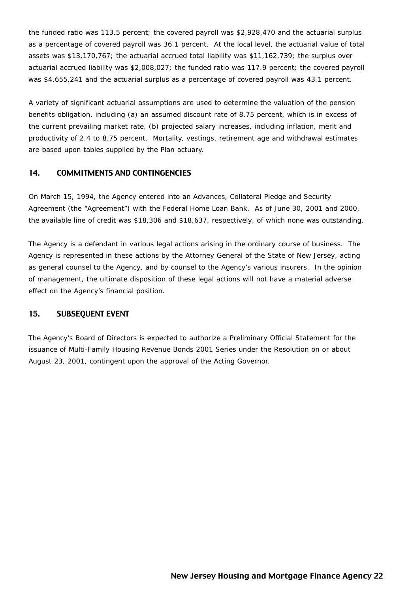the funded ratio was 113.5 percent; the covered payroll was \$2,928,470 and the actuarial surplus as a percentage of covered payroll was 36.1 percent. At the local level, the actuarial value of total assets was \$13,170,767; the actuarial accrued total liability was \$11,162,739; the surplus over actuarial accrued liability was \$2,008,027; the funded ratio was 117.9 percent; the covered payroll was \$4,655,241 and the actuarial surplus as a percentage of covered payroll was 43.1 percent.

A variety of significant actuarial assumptions are used to determine the valuation of the pension benefits obligation, including (a) an assumed discount rate of 8.75 percent, which is in excess of the current prevailing market rate, (b) projected salary increases, including inflation, merit and productivity of 2.4 to 8.75 percent. Mortality, vestings, retirement age and withdrawal estimates are based upon tables supplied by the Plan actuary.

# 14. COMMITMENTS AND CONTINGENCIES

On March 15, 1994, the Agency entered into an Advances, Collateral Pledge and Security Agreement (the "Agreement") with the Federal Home Loan Bank. As of June 30, 2001 and 2000, the available line of credit was \$18,306 and \$18,637, respectively, of which none was outstanding.

The Agency is a defendant in various legal actions arising in the ordinary course of business. The Agency is represented in these actions by the Attorney General of the State of New Jersey, acting as general counsel to the Agency, and by counsel to the Agency's various insurers. In the opinion of management, the ultimate disposition of these legal actions will not have a material adverse effect on the Agency's financial position.

# 15. SUBSEQUENT EVENT

The Agency's Board of Directors is expected to authorize a Preliminary Official Statement for the issuance of Multi-Family Housing Revenue Bonds 2001 Series under the Resolution on or about August 23, 2001, contingent upon the approval of the Acting Governor.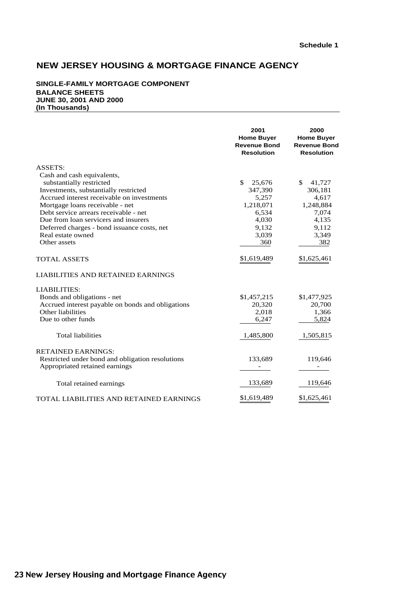#### **SINGLE-FAMILY MORTGAGE COMPONENT BALANCE SHEETS JUNE 30, 2001 AND 2000 (In Thousands)**

|                                                   | 2001<br><b>Home Buyer</b><br><b>Revenue Bond</b><br><b>Resolution</b> | 2000<br><b>Home Buyer</b><br><b>Revenue Bond</b><br><b>Resolution</b> |
|---------------------------------------------------|-----------------------------------------------------------------------|-----------------------------------------------------------------------|
| ASSETS:                                           |                                                                       |                                                                       |
| Cash and cash equivalents,                        |                                                                       |                                                                       |
| substantially restricted                          | \$<br>25,676                                                          | \$<br>41,727                                                          |
| Investments, substantially restricted             | 347,390                                                               | 306,181                                                               |
| Accrued interest receivable on investments        | 5,257                                                                 | 4,617                                                                 |
| Mortgage loans receivable - net                   | 1,218,071                                                             | 1,248,884                                                             |
| Debt service arrears receivable - net             | 6,534                                                                 | 7,074                                                                 |
| Due from loan servicers and insurers              | 4,030                                                                 | 4,135                                                                 |
| Deferred charges - bond issuance costs, net       | 9,132                                                                 | 9,112                                                                 |
| Real estate owned                                 | 3,039                                                                 | 3,349                                                                 |
| Other assets                                      | 360                                                                   | 382                                                                   |
| <b>TOTAL ASSETS</b>                               | \$1,619,489                                                           | \$1,625,461                                                           |
| LIABILITIES AND RETAINED EARNINGS                 |                                                                       |                                                                       |
| <b>LIABILITIES:</b>                               |                                                                       |                                                                       |
| Bonds and obligations - net                       | \$1,457,215                                                           | \$1,477,925                                                           |
| Accrued interest payable on bonds and obligations | 20,320                                                                | 20,700                                                                |
| Other liabilities                                 | 2,018                                                                 | 1,366                                                                 |
| Due to other funds                                | 6,247                                                                 | 5,824                                                                 |
| <b>Total liabilities</b>                          | 1,485,800                                                             | 1,505,815                                                             |
| <b>RETAINED EARNINGS:</b>                         |                                                                       |                                                                       |
| Restricted under bond and obligation resolutions  | 133,689                                                               | 119,646                                                               |
| Appropriated retained earnings                    |                                                                       |                                                                       |
| Total retained earnings                           | 133,689                                                               | 119,646                                                               |
|                                                   |                                                                       |                                                                       |
| TOTAL LIABILITIES AND RETAINED EARNINGS           | \$1,619,489                                                           | \$1,625,461                                                           |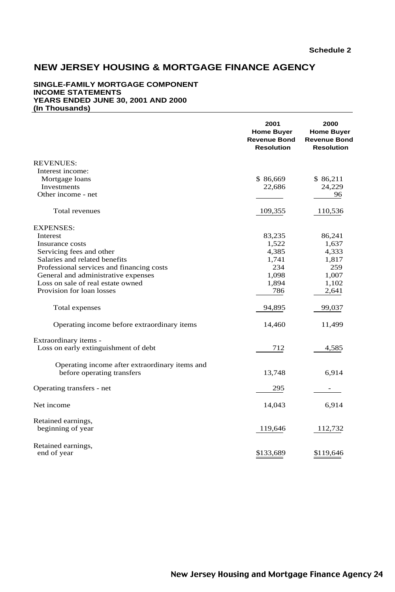#### **SINGLE-FAMILY MORTGAGE COMPONENT INCOME STATEMENTS YEARS ENDED JUNE 30, 2001 AND 2000 (In Thousands)**

|                                                | 2001<br><b>Home Buyer</b><br><b>Revenue Bond</b><br><b>Resolution</b> | 2000<br><b>Home Buyer</b><br><b>Revenue Bond</b><br><b>Resolution</b> |
|------------------------------------------------|-----------------------------------------------------------------------|-----------------------------------------------------------------------|
| <b>REVENUES:</b>                               |                                                                       |                                                                       |
| Interest income:                               |                                                                       |                                                                       |
| Mortgage loans                                 | \$86,669                                                              | \$86,211                                                              |
| Investments                                    | 22,686                                                                | 24,229                                                                |
| Other income - net                             |                                                                       | 96                                                                    |
| Total revenues                                 | 109,355                                                               | 110,536                                                               |
| <b>EXPENSES:</b>                               |                                                                       |                                                                       |
| Interest                                       | 83,235                                                                | 86,241                                                                |
| Insurance costs                                | 1,522                                                                 | 1,637                                                                 |
| Servicing fees and other                       | 4,385                                                                 | 4,333                                                                 |
| Salaries and related benefits                  | 1,741                                                                 | 1,817                                                                 |
| Professional services and financing costs      | 234                                                                   | 259                                                                   |
| General and administrative expenses            | 1,098                                                                 | 1,007                                                                 |
| Loss on sale of real estate owned              | 1,894                                                                 | 1,102                                                                 |
| Provision for loan losses                      | 786                                                                   | 2,641                                                                 |
| Total expenses                                 | 94,895                                                                | 99,037                                                                |
| Operating income before extraordinary items    | 14,460                                                                | 11,499                                                                |
| Extraordinary items -                          |                                                                       |                                                                       |
| Loss on early extinguishment of debt           | 712                                                                   | 4,585                                                                 |
| Operating income after extraordinary items and |                                                                       |                                                                       |
| before operating transfers                     | 13,748                                                                | 6,914                                                                 |
| Operating transfers - net                      | 295                                                                   |                                                                       |
| Net income                                     | 14,043                                                                | 6,914                                                                 |
| Retained earnings,                             |                                                                       |                                                                       |
| beginning of year                              | 119,646                                                               | 112,732                                                               |
| Retained earnings,<br>end of year              | \$133,689                                                             | \$119,646                                                             |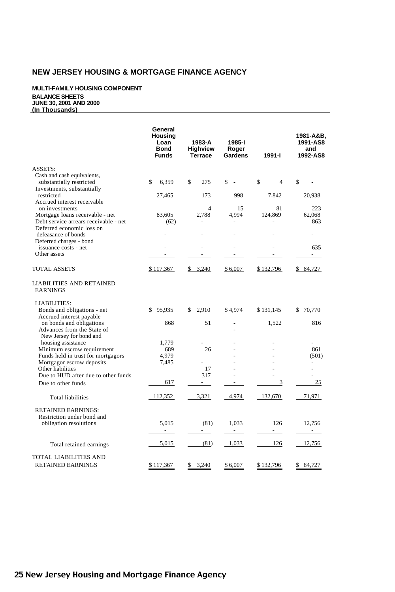#### **MULTI-FAMILY HOUSING COMPONENT BALANCE SHEETS JUNE 30, 2001 AND 2000 (In Thousands)**

|                                                                    | General<br>Housing<br>Loan<br><b>Bond</b><br><b>Funds</b> | 1983-A<br><b>Highview</b><br><b>Terrace</b> | 1985-l<br>Roger<br>Gardens | 1991-l         | 1981-A&B,<br>1991-AS8<br>and<br>1992-AS8 |
|--------------------------------------------------------------------|-----------------------------------------------------------|---------------------------------------------|----------------------------|----------------|------------------------------------------|
| ASSETS:                                                            |                                                           |                                             |                            |                |                                          |
| Cash and cash equivalents,                                         |                                                           |                                             |                            |                |                                          |
| substantially restricted<br>Investments, substantially             | \$<br>6.359                                               | \$<br>275                                   | \$<br>$\sim$               | \$<br>4        | \$                                       |
| restricted                                                         | 27,465                                                    | 173                                         | 998                        | 7,842          | 20,938                                   |
| Accrued interest receivable                                        |                                                           |                                             |                            |                |                                          |
| on investments                                                     |                                                           | 4                                           | 15                         | 81             | 223                                      |
| Mortgage loans receivable - net                                    | 83,605                                                    | 2,788                                       | 4,994                      | 124,869        | 62,068                                   |
| Debt service arrears receivable - net<br>Deferred economic loss on | (62)                                                      |                                             |                            |                | 863                                      |
| defeasance of bonds                                                |                                                           |                                             |                            |                |                                          |
| Deferred charges - bond                                            |                                                           |                                             |                            |                |                                          |
| issuance costs - net                                               |                                                           |                                             |                            |                | 635                                      |
| Other assets                                                       |                                                           |                                             |                            |                | $\overline{a}$                           |
| TOTAL ASSETS                                                       | \$117,367                                                 | 3,240<br>\$                                 | \$6,007                    | \$132,796      | \$ 84,727                                |
| LIABILITIES AND RETAINED<br><b>EARNINGS</b>                        |                                                           |                                             |                            |                |                                          |
| <b>LIABILITIES:</b>                                                |                                                           |                                             |                            |                |                                          |
| Bonds and obligations - net                                        | \$95,935                                                  | 2,910<br>\$                                 | \$4,974                    | \$131,145      | \$ 70,770                                |
| Accrued interest payable                                           |                                                           |                                             |                            |                |                                          |
| on bonds and obligations                                           | 868                                                       | 51                                          |                            | 1,522          | 816                                      |
| Advances from the State of<br>New Jersey for bond and              |                                                           |                                             |                            |                |                                          |
| housing assistance                                                 | 1,779                                                     |                                             |                            |                |                                          |
| Minimum escrow requirement                                         | 689                                                       | 26                                          |                            |                | 861                                      |
| Funds held in trust for mortgagors                                 | 4,979                                                     |                                             |                            |                | (501)                                    |
| Mortgagor escrow deposits                                          | 7,485                                                     |                                             |                            |                |                                          |
| Other liabilities                                                  |                                                           | 17                                          |                            |                |                                          |
| Due to HUD after due to other funds                                |                                                           | 317                                         |                            |                |                                          |
| Due to other funds                                                 | 617                                                       | $\overline{\phantom{a}}$                    |                            | 3              | 25                                       |
| <b>Total liabilities</b>                                           | 112,352                                                   | 3,321                                       | 4,974                      | 132,670        | 71,971                                   |
| <b>RETAINED EARNINGS:</b>                                          |                                                           |                                             |                            |                |                                          |
| Restriction under bond and                                         |                                                           |                                             |                            |                |                                          |
| obligation resolutions                                             | 5,015                                                     | (81)                                        | 1,033                      | 126            | 12,756                                   |
|                                                                    | $\overline{a}$                                            | $\overline{a}$                              | $\overline{a}$             | $\overline{a}$ |                                          |
| Total retained earnings                                            | 5,015                                                     | (81)                                        | 1,033                      | 126            | 12,756                                   |
| TOTAL LIABILITIES AND                                              |                                                           |                                             |                            |                |                                          |
| <b>RETAINED EARNINGS</b>                                           | \$117,367                                                 | 3,240<br>\$                                 | \$6,007                    | \$132,796      | \$<br>84,727                             |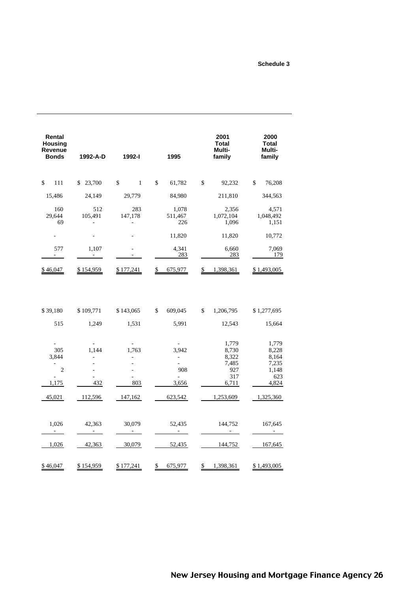#### **Schedule 3**

| Rental<br><b>Housing</b><br><b>Revenue</b><br><b>Bonds</b> | 1992-A-D           | 1992-l             | 1995                                              | 2001<br><b>Total</b><br>Multi-<br>family                | 2000<br>Total<br>Multi-<br>family                         |
|------------------------------------------------------------|--------------------|--------------------|---------------------------------------------------|---------------------------------------------------------|-----------------------------------------------------------|
| \$<br>111                                                  | 23,700<br>\$       | \$<br>$\mathbf{1}$ | \$<br>61,782                                      | \$<br>92,232                                            | \$<br>76,208                                              |
| 15,486                                                     | 24,149             | 29,779             | 84,980                                            | 211,810                                                 | 344,563                                                   |
| 160<br>29,644<br>69                                        | 512<br>105,491     | 283<br>147,178     | 1,078<br>511,467<br>226                           | 2,356<br>1,072,104<br>1,096                             | 4,571<br>1,048,492<br>1,151                               |
|                                                            |                    |                    | 11,820                                            | 11,820                                                  | 10,772                                                    |
| 577                                                        | 1,107              |                    | 4,341<br>283                                      | 6,660<br>283                                            | 7,069<br>179                                              |
| \$46,047                                                   | \$154,959          | \$177,241          | \$<br>675,977                                     | \$<br>1,398,361                                         | \$1,493,005                                               |
| \$39,180<br>515                                            | \$109,771<br>1,249 | \$143,065<br>1,531 | S<br>609,045<br>5,991                             | \$<br>1,206,795<br>12,543                               | \$1,277,695<br>15,664                                     |
| 305<br>3,844<br>$\mathbf{2}$<br>1,175                      | 1,144<br>432       | 1,763<br>803       | 3,942<br>$\overline{\phantom{m}}$<br>908<br>3,656 | 1,779<br>8,730<br>8,322<br>7,485<br>927<br>317<br>6,711 | 1,779<br>8,228<br>8,164<br>7,235<br>1,148<br>623<br>4,824 |
| 45,021                                                     | 112,596            | 147,162            | 623,542                                           | 1,253,609                                               | 1,325,360                                                 |
| 1,026                                                      | 42,363             | 30,079             | 52,435                                            | 144,752                                                 | 167,645                                                   |
| 1,026                                                      | 42,363             | 30,079             | 52,435                                            | 144,752                                                 | 167,645                                                   |
| \$46,047                                                   | \$154,959          | \$177,241          | \$<br>675,977                                     | 1,398,361<br>\$                                         | \$1,493,005                                               |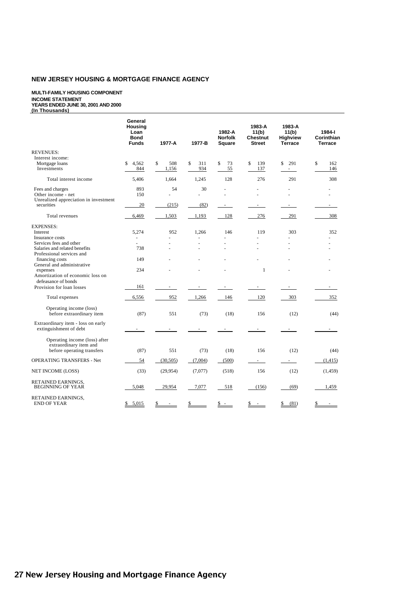#### **MULTI-FAMILY HOUSING COMPONENT INCOME STATEMENT YEARS ENDED JUNE 30, 2001 AND 2000 (In Thousands)**

|                                       | General<br>Housing<br>Loan<br><b>Bond</b><br><b>Funds</b> | 1977-A    | 1977-B    | 1982-A<br><b>Norfolk</b><br>Square | 1983-A<br>11(b)<br>Chestnut<br><b>Street</b> | 1983-A<br>11(b)<br>Highview<br><b>Terrace</b> | 1984-l<br>Corinthian<br><b>Terrace</b> |
|---------------------------------------|-----------------------------------------------------------|-----------|-----------|------------------------------------|----------------------------------------------|-----------------------------------------------|----------------------------------------|
| <b>REVENUES:</b>                      |                                                           |           |           |                                    |                                              |                                               |                                        |
| Interest income:                      |                                                           |           |           |                                    |                                              |                                               |                                        |
| Mortgage loans                        | \$<br>4.562                                               | \$<br>508 | \$<br>311 | \$<br>73                           | \$<br>139                                    | \$<br>291                                     | \$<br>162                              |
| Investments                           | 844                                                       | 1,156     | 934       | 55                                 | 137                                          | $\sim 100$                                    | 146                                    |
|                                       |                                                           |           |           |                                    |                                              |                                               |                                        |
| Total interest income                 | 5,406                                                     | 1,664     | 1,245     | 128                                | 276                                          | 291                                           | 308                                    |
| Fees and charges                      | 893                                                       | 54        | 30        | ä,                                 |                                              |                                               |                                        |
| Other income - net                    | 150                                                       | ä,        |           | L.                                 | L.                                           |                                               |                                        |
| Unrealized appreciation in investment |                                                           |           |           |                                    |                                              |                                               |                                        |
| securities                            | 20                                                        | (215)     | (82)      | ÷.                                 |                                              |                                               | ä,                                     |
|                                       |                                                           |           |           |                                    |                                              |                                               |                                        |
| Total revenues                        | 6,469                                                     | 1,503     | 1,193     | 128                                | 276                                          | 291                                           | 308                                    |
| <b>EXPENSES:</b>                      |                                                           |           |           |                                    |                                              |                                               |                                        |
| Interest                              | 5,274                                                     | 952       | 1,266     | 146                                | 119                                          | 303                                           | 352                                    |
| Insurance costs                       |                                                           |           |           |                                    |                                              |                                               |                                        |
| Services fees and other               | ٠                                                         |           |           | ÷                                  |                                              |                                               |                                        |
| Salaries and related benefits         | 738                                                       |           |           |                                    |                                              | ÷                                             |                                        |
| Professional services and             |                                                           |           |           |                                    |                                              |                                               |                                        |
| financing costs                       | 149                                                       |           |           |                                    |                                              |                                               |                                        |
| General and administrative            |                                                           |           |           |                                    |                                              |                                               |                                        |
| expenses                              | 234                                                       |           |           |                                    | 1                                            |                                               |                                        |
| Amortization of economic loss on      |                                                           |           |           |                                    |                                              |                                               |                                        |
| defeasance of bonds                   |                                                           |           |           |                                    |                                              |                                               |                                        |
| Provision for loan losses             | 161                                                       |           |           |                                    |                                              |                                               |                                        |
|                                       |                                                           |           |           |                                    |                                              |                                               |                                        |
| Total expenses                        | 6,556                                                     | 952       | 1,266     | 146                                | 120                                          | 303                                           | 352                                    |
| Operating income (loss)               |                                                           |           |           |                                    |                                              |                                               |                                        |
| before extraordinary item             | (87)                                                      | 551       | (73)      | (18)                               | 156                                          | (12)                                          | (44)                                   |
|                                       |                                                           |           |           |                                    |                                              |                                               |                                        |
| Extraordinary item - loss on early    |                                                           |           |           |                                    |                                              |                                               |                                        |
| extinguishment of debt                |                                                           |           |           |                                    |                                              |                                               |                                        |
|                                       |                                                           |           |           |                                    |                                              |                                               |                                        |
| Operating income (loss) after         |                                                           |           |           |                                    |                                              |                                               |                                        |
| extraordinary item and                |                                                           | 551       |           |                                    | 156                                          |                                               |                                        |
| before operating transfers            | (87)                                                      |           | (73)      | (18)                               |                                              | (12)                                          | (44)                                   |
| <b>OPERATING TRANSFERS - Net</b>      | 54                                                        | (30, 505) | (7,004)   | (500)                              | $\sim$                                       |                                               | (1, 415)                               |
|                                       |                                                           |           |           |                                    |                                              |                                               |                                        |
| NET INCOME (LOSS)                     | (33)                                                      | (29, 954) | (7,077)   | (518)                              | 156                                          | (12)                                          | (1, 459)                               |
| RETAINED EARNINGS.                    |                                                           |           |           |                                    |                                              |                                               |                                        |
| <b>BEGINNING OF YEAR</b>              | 5,048                                                     | 29,954    | 7,077     | 518                                | (156)                                        | (69)                                          | 1,459                                  |
|                                       |                                                           |           |           |                                    |                                              |                                               |                                        |
| RETAINED EARNINGS,                    |                                                           |           |           |                                    |                                              |                                               |                                        |
| <b>END OF YEAR</b>                    | \$5,015                                                   | \$        | \$        | $s -$                              | \$<br>ä,                                     | \$<br>(81)                                    | \$                                     |